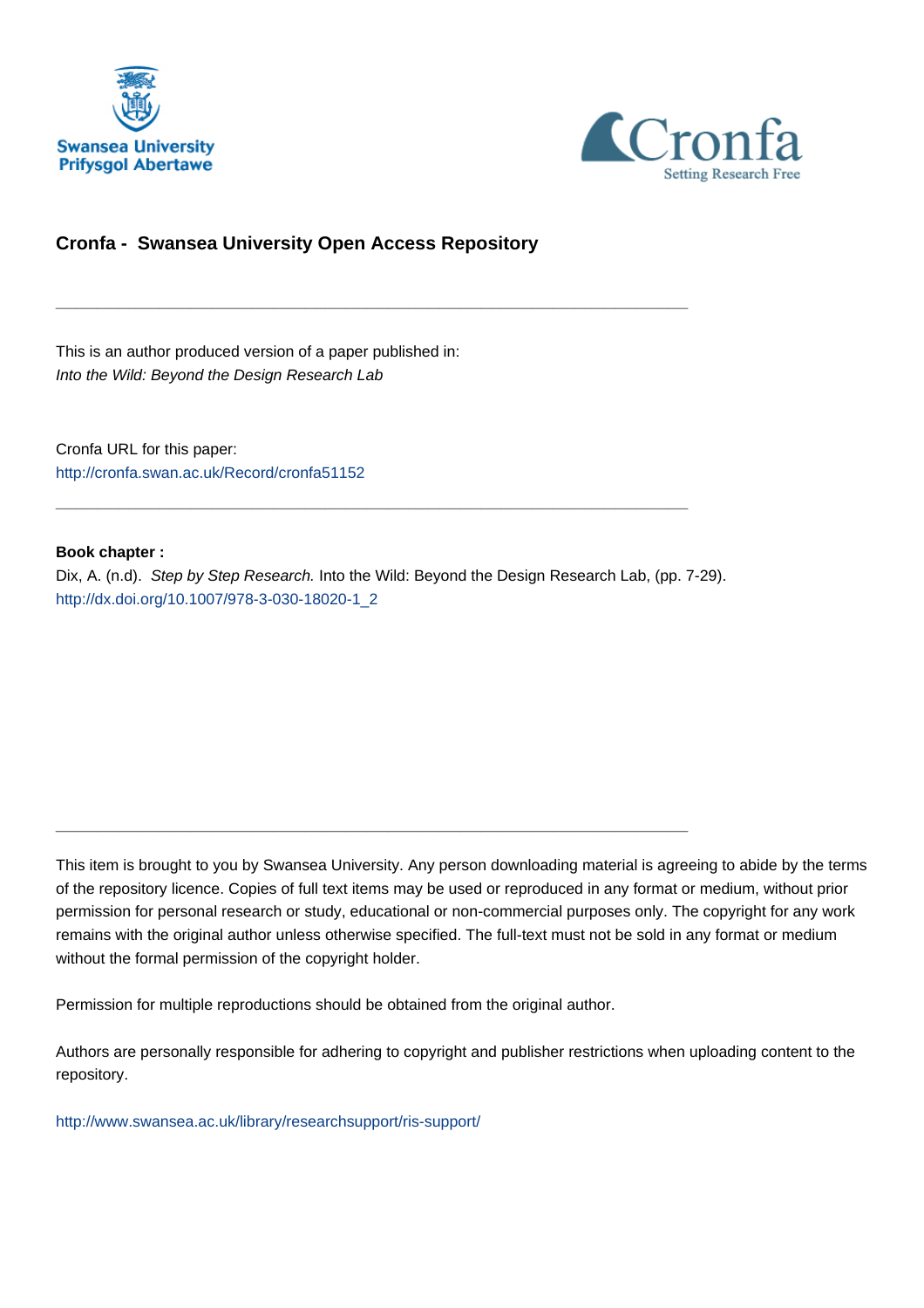



# **Cronfa - Swansea University Open Access Repository**

This is an author produced version of a paper published in: Into the Wild: Beyond the Design Research Lab

Cronfa URL for this paper: <http://cronfa.swan.ac.uk/Record/cronfa51152>

# **Book chapter :**

Dix, A. (n.d). Step by Step Research. Into the Wild: Beyond the Design Research Lab, (pp. 7-29). [http://dx.doi.org/10.1007/978-3-030-18020-1\\_2](http://dx.doi.org/10.1007/978-3-030-18020-1_2)

\_\_\_\_\_\_\_\_\_\_\_\_\_\_\_\_\_\_\_\_\_\_\_\_\_\_\_\_\_\_\_\_\_\_\_\_\_\_\_\_\_\_\_\_\_\_\_\_\_\_\_\_\_\_\_\_\_\_\_\_\_

 $\_$  , and the set of the set of the set of the set of the set of the set of the set of the set of the set of the set of the set of the set of the set of the set of the set of the set of the set of the set of the set of th

\_\_\_\_\_\_\_\_\_\_\_\_\_\_\_\_\_\_\_\_\_\_\_\_\_\_\_\_\_\_\_\_\_\_\_\_\_\_\_\_\_\_\_\_\_\_\_\_\_\_\_\_\_\_\_\_\_\_\_\_\_

This item is brought to you by Swansea University. Any person downloading material is agreeing to abide by the terms of the repository licence. Copies of full text items may be used or reproduced in any format or medium, without prior permission for personal research or study, educational or non-commercial purposes only. The copyright for any work remains with the original author unless otherwise specified. The full-text must not be sold in any format or medium without the formal permission of the copyright holder.

Permission for multiple reproductions should be obtained from the original author.

Authors are personally responsible for adhering to copyright and publisher restrictions when uploading content to the repository.

[http://www.swansea.ac.uk/library/researchsupport/ris-support/](http://www.swansea.ac.uk/library/researchsupport/ris-support/ )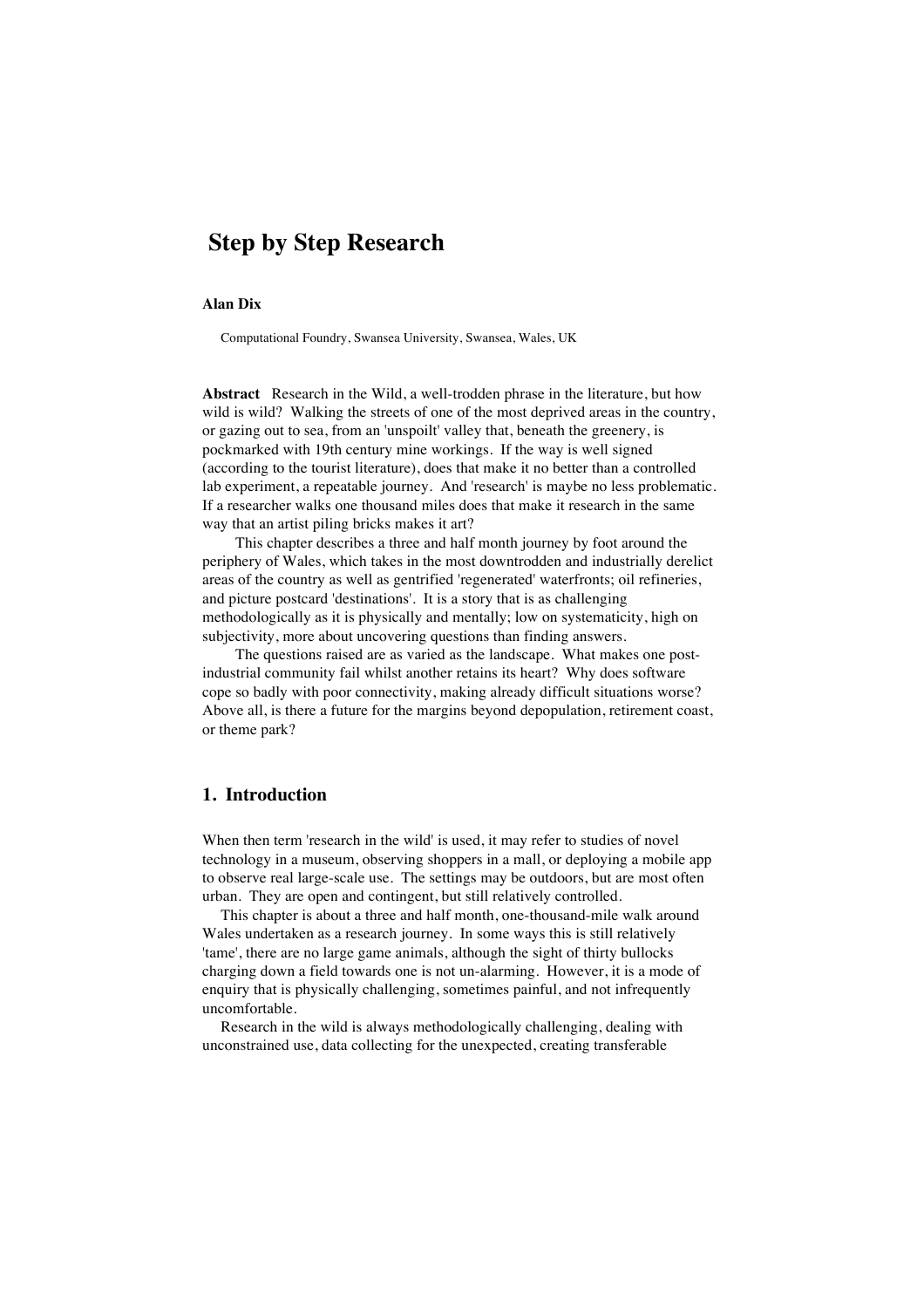# **Step by Step Research**

#### **Alan Dix**

Computational Foundry, Swansea University, Swansea, Wales, UK

**Abstract** Research in the Wild, a well-trodden phrase in the literature, but how wild is wild? Walking the streets of one of the most deprived areas in the country, or gazing out to sea, from an 'unspoilt' valley that, beneath the greenery, is pockmarked with 19th century mine workings. If the way is well signed (according to the tourist literature), does that make it no better than a controlled lab experiment, a repeatable journey. And 'research' is maybe no less problematic. If a researcher walks one thousand miles does that make it research in the same way that an artist piling bricks makes it art?

This chapter describes a three and half month journey by foot around the periphery of Wales, which takes in the most downtrodden and industrially derelict areas of the country as well as gentrified 'regenerated' waterfronts; oil refineries, and picture postcard 'destinations'. It is a story that is as challenging methodologically as it is physically and mentally; low on systematicity, high on subjectivity, more about uncovering questions than finding answers.

The questions raised are as varied as the landscape. What makes one postindustrial community fail whilst another retains its heart? Why does software cope so badly with poor connectivity, making already difficult situations worse? Above all, is there a future for the margins beyond depopulation, retirement coast, or theme park?

# **1. Introduction**

When then term 'research in the wild' is used, it may refer to studies of novel technology in a museum, observing shoppers in a mall, or deploying a mobile app to observe real large-scale use. The settings may be outdoors, but are most often urban. They are open and contingent, but still relatively controlled.

This chapter is about a three and half month, one-thousand-mile walk around Wales undertaken as a research journey. In some ways this is still relatively 'tame', there are no large game animals, although the sight of thirty bullocks charging down a field towards one is not un-alarming. However, it is a mode of enquiry that is physically challenging, sometimes painful, and not infrequently uncomfortable.

Research in the wild is always methodologically challenging, dealing with unconstrained use, data collecting for the unexpected, creating transferable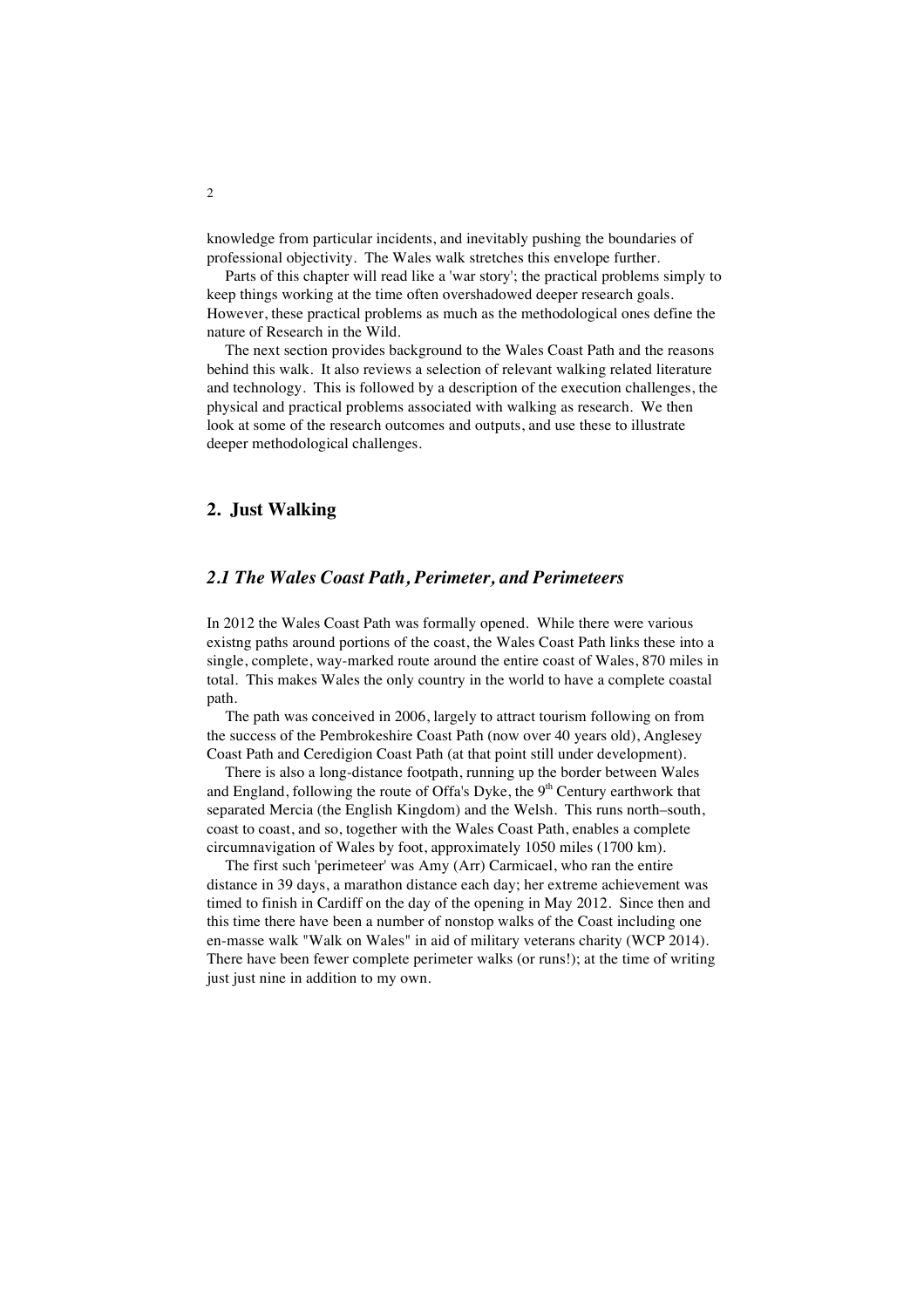knowledge from particular incidents, and inevitably pushing the boundaries of professional objectivity. The Wales walk stretches this envelope further.

Parts of this chapter will read like a 'war story'; the practical problems simply to keep things working at the time often overshadowed deeper research goals. However, these practical problems as much as the methodological ones define the nature of Research in the Wild.

The next section provides background to the Wales Coast Path and the reasons behind this walk. It also reviews a selection of relevant walking related literature and technology. This is followed by a description of the execution challenges, the physical and practical problems associated with walking as research. We then look at some of the research outcomes and outputs, and use these to illustrate deeper methodological challenges.

# **2. Just Walking**

# *2.1 The Wales Coast Path, Perimeter, and Perimeteers*

In 2012 the Wales Coast Path was formally opened. While there were various existng paths around portions of the coast, the Wales Coast Path links these into a single, complete, way-marked route around the entire coast of Wales, 870 miles in total. This makes Wales the only country in the world to have a complete coastal path.

The path was conceived in 2006, largely to attract tourism following on from the success of the Pembrokeshire Coast Path (now over 40 years old), Anglesey Coast Path and Ceredigion Coast Path (at that point still under development).

There is also a long-distance footpath, running up the border between Wales and England, following the route of Offa's Dyke, the  $9<sup>th</sup>$  Century earthwork that separated Mercia (the English Kingdom) and the Welsh. This runs north–south, coast to coast, and so, together with the Wales Coast Path, enables a complete circumnavigation of Wales by foot, approximately 1050 miles (1700 km).

The first such 'perimeteer' was Amy (Arr) Carmicael, who ran the entire distance in 39 days, a marathon distance each day; her extreme achievement was timed to finish in Cardiff on the day of the opening in May 2012. Since then and this time there have been a number of nonstop walks of the Coast including one en-masse walk "Walk on Wales" in aid of military veterans charity (WCP 2014). There have been fewer complete perimeter walks (or runs!); at the time of writing just just nine in addition to my own.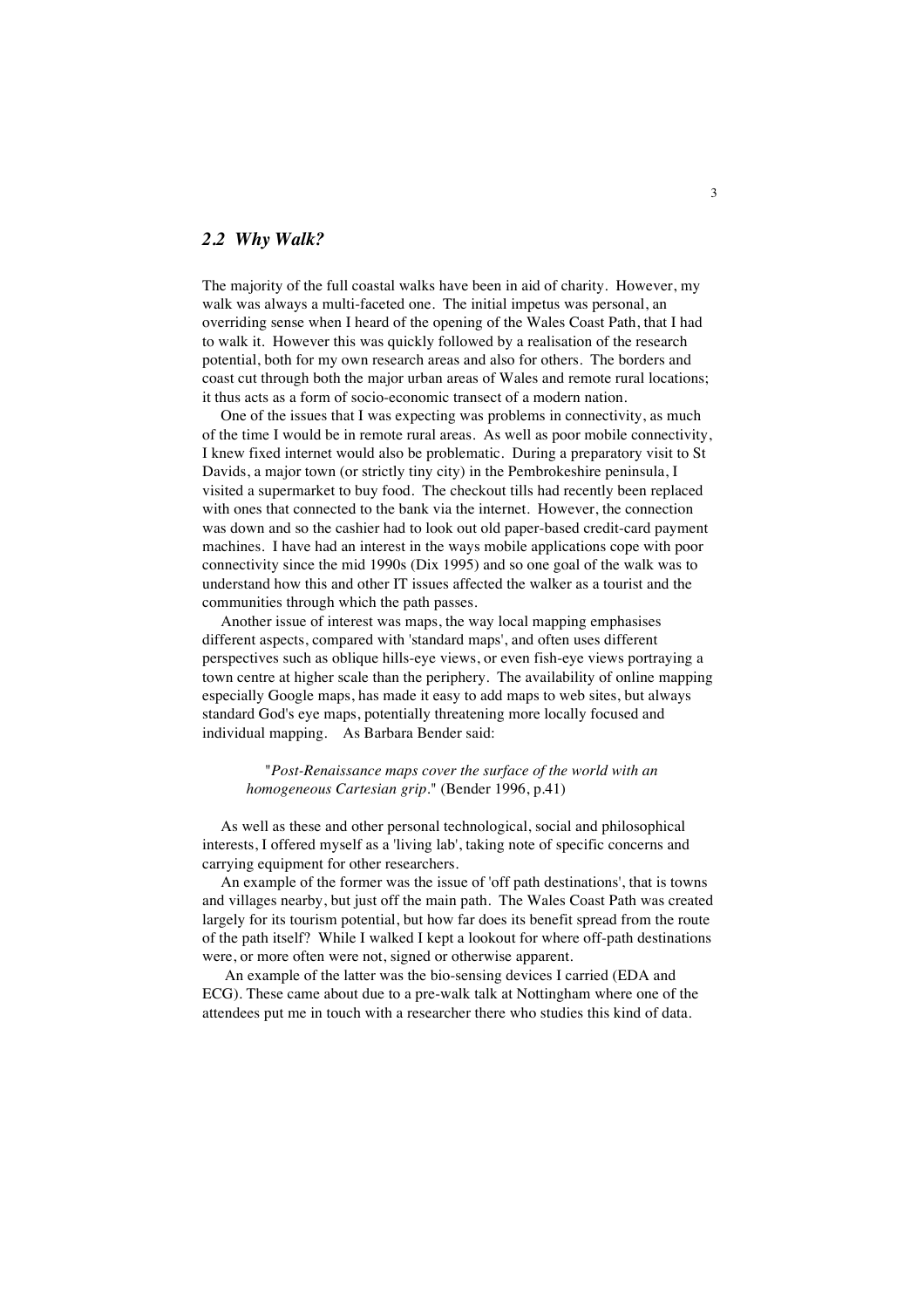#### *2.2 Why Walk?*

The majority of the full coastal walks have been in aid of charity. However, my walk was always a multi-faceted one. The initial impetus was personal, an overriding sense when I heard of the opening of the Wales Coast Path, that I had to walk it. However this was quickly followed by a realisation of the research potential, both for my own research areas and also for others. The borders and coast cut through both the major urban areas of Wales and remote rural locations; it thus acts as a form of socio-economic transect of a modern nation.

One of the issues that I was expecting was problems in connectivity, as much of the time I would be in remote rural areas. As well as poor mobile connectivity, I knew fixed internet would also be problematic. During a preparatory visit to St Davids, a major town (or strictly tiny city) in the Pembrokeshire peninsula, I visited a supermarket to buy food. The checkout tills had recently been replaced with ones that connected to the bank via the internet. However, the connection was down and so the cashier had to look out old paper-based credit-card payment machines. I have had an interest in the ways mobile applications cope with poor connectivity since the mid 1990s (Dix 1995) and so one goal of the walk was to understand how this and other IT issues affected the walker as a tourist and the communities through which the path passes.

Another issue of interest was maps, the way local mapping emphasises different aspects, compared with 'standard maps', and often uses different perspectives such as oblique hills-eye views, or even fish-eye views portraying a town centre at higher scale than the periphery. The availability of online mapping especially Google maps, has made it easy to add maps to web sites, but always standard God's eye maps, potentially threatening more locally focused and individual mapping. As Barbara Bender said:

"*Post-Renaissance maps cover the surface of the world with an homogeneous Cartesian grip*." (Bender 1996, p.41)

As well as these and other personal technological, social and philosophical interests, I offered myself as a 'living lab', taking note of specific concerns and carrying equipment for other researchers.

An example of the former was the issue of 'off path destinations', that is towns and villages nearby, but just off the main path. The Wales Coast Path was created largely for its tourism potential, but how far does its benefit spread from the route of the path itself? While I walked I kept a lookout for where off-path destinations were, or more often were not, signed or otherwise apparent.

An example of the latter was the bio-sensing devices I carried (EDA and ECG). These came about due to a pre-walk talk at Nottingham where one of the attendees put me in touch with a researcher there who studies this kind of data.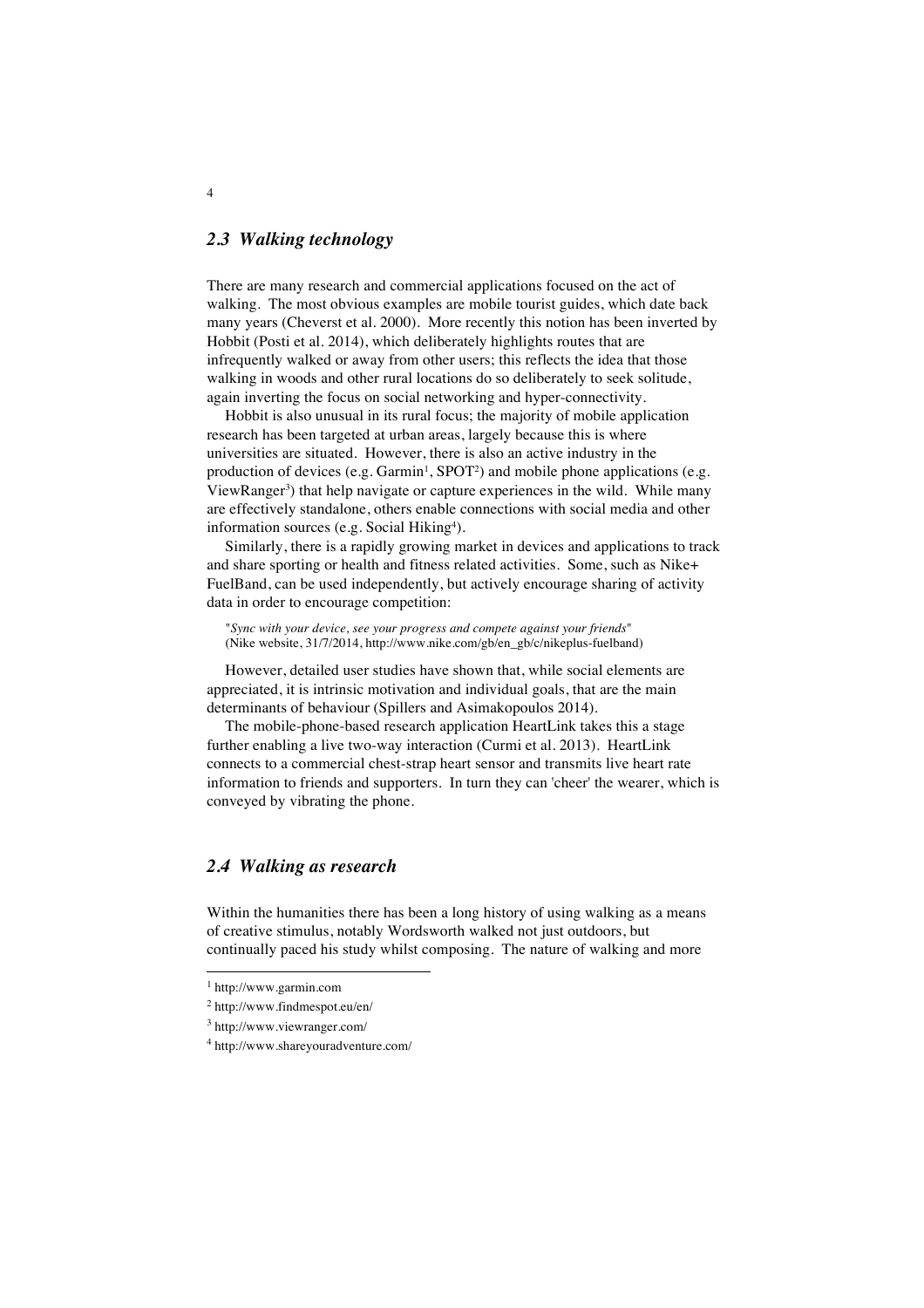# *2.3 Walking technology*

There are many research and commercial applications focused on the act of walking. The most obvious examples are mobile tourist guides, which date back many years (Cheverst et al. 2000). More recently this notion has been inverted by Hobbit (Posti et al. 2014), which deliberately highlights routes that are infrequently walked or away from other users; this reflects the idea that those walking in woods and other rural locations do so deliberately to seek solitude, again inverting the focus on social networking and hyper-connectivity.

Hobbit is also unusual in its rural focus; the majority of mobile application research has been targeted at urban areas, largely because this is where universities are situated. However, there is also an active industry in the production of devices (e.g.  $Gamma<sup>1</sup>$ , SPOT<sup>2</sup>) and mobile phone applications (e.g. ViewRanger<sup>3</sup>) that help navigate or capture experiences in the wild. While many are effectively standalone, others enable connections with social media and other information sources (e.g. Social Hiking<sup>4</sup>).

Similarly, there is a rapidly growing market in devices and applications to track and share sporting or health and fitness related activities. Some, such as Nike+ FuelBand, can be used independently, but actively encourage sharing of activity data in order to encourage competition:

"*Sync with your device, see your progress and compete against your friends*" (Nike website, 31/7/2014, http://www.nike.com/gb/en\_gb/c/nikeplus-fuelband)

However, detailed user studies have shown that, while social elements are appreciated, it is intrinsic motivation and individual goals, that are the main determinants of behaviour (Spillers and Asimakopoulos 2014).

The mobile-phone-based research application HeartLink takes this a stage further enabling a live two-way interaction (Curmi et al. 2013). HeartLink connects to a commercial chest-strap heart sensor and transmits live heart rate information to friends and supporters. In turn they can 'cheer' the wearer, which is conveyed by vibrating the phone.

# *2.4 Walking as research*

Within the humanities there has been a long history of using walking as a means of creative stimulus, notably Wordsworth walked not just outdoors, but continually paced his study whilst composing. The nature of walking and more

 $\overline{a}$ 

<sup>1</sup> http://www.garmin.com

<sup>2</sup> http://www.findmespot.eu/en/

<sup>3</sup> http://www.viewranger.com/

<sup>4</sup> http://www.shareyouradventure.com/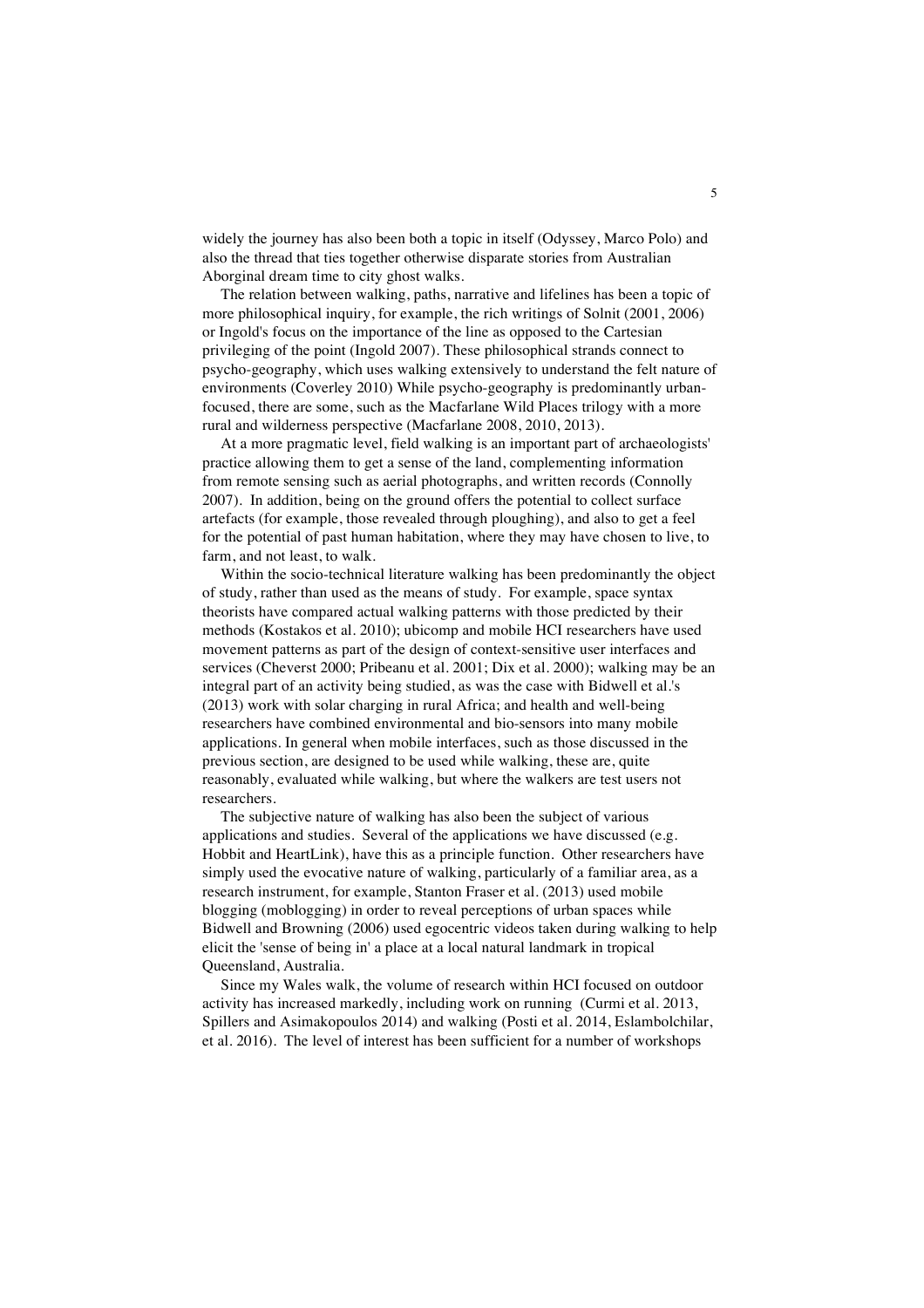widely the journey has also been both a topic in itself (Odyssey, Marco Polo) and also the thread that ties together otherwise disparate stories from Australian Aborginal dream time to city ghost walks.

The relation between walking, paths, narrative and lifelines has been a topic of more philosophical inquiry, for example, the rich writings of Solnit (2001, 2006) or Ingold's focus on the importance of the line as opposed to the Cartesian privileging of the point (Ingold 2007). These philosophical strands connect to psycho-geography, which uses walking extensively to understand the felt nature of environments (Coverley 2010) While psycho-geography is predominantly urbanfocused, there are some, such as the Macfarlane Wild Places trilogy with a more rural and wilderness perspective (Macfarlane 2008, 2010, 2013).

At a more pragmatic level, field walking is an important part of archaeologists' practice allowing them to get a sense of the land, complementing information from remote sensing such as aerial photographs, and written records (Connolly 2007). In addition, being on the ground offers the potential to collect surface artefacts (for example, those revealed through ploughing), and also to get a feel for the potential of past human habitation, where they may have chosen to live, to farm, and not least, to walk.

Within the socio-technical literature walking has been predominantly the object of study, rather than used as the means of study. For example, space syntax theorists have compared actual walking patterns with those predicted by their methods (Kostakos et al. 2010); ubicomp and mobile HCI researchers have used movement patterns as part of the design of context-sensitive user interfaces and services (Cheverst 2000; Pribeanu et al. 2001; Dix et al. 2000); walking may be an integral part of an activity being studied, as was the case with Bidwell et al.'s (2013) work with solar charging in rural Africa; and health and well-being researchers have combined environmental and bio-sensors into many mobile applications. In general when mobile interfaces, such as those discussed in the previous section, are designed to be used while walking, these are, quite reasonably, evaluated while walking, but where the walkers are test users not researchers.

The subjective nature of walking has also been the subject of various applications and studies. Several of the applications we have discussed (e.g. Hobbit and HeartLink), have this as a principle function. Other researchers have simply used the evocative nature of walking, particularly of a familiar area, as a research instrument, for example, Stanton Fraser et al. (2013) used mobile blogging (moblogging) in order to reveal perceptions of urban spaces while Bidwell and Browning (2006) used egocentric videos taken during walking to help elicit the 'sense of being in' a place at a local natural landmark in tropical Queensland, Australia.

Since my Wales walk, the volume of research within HCI focused on outdoor activity has increased markedly, including work on running (Curmi et al. 2013, Spillers and Asimakopoulos 2014) and walking (Posti et al. 2014, Eslambolchilar, et al. 2016). The level of interest has been sufficient for a number of workshops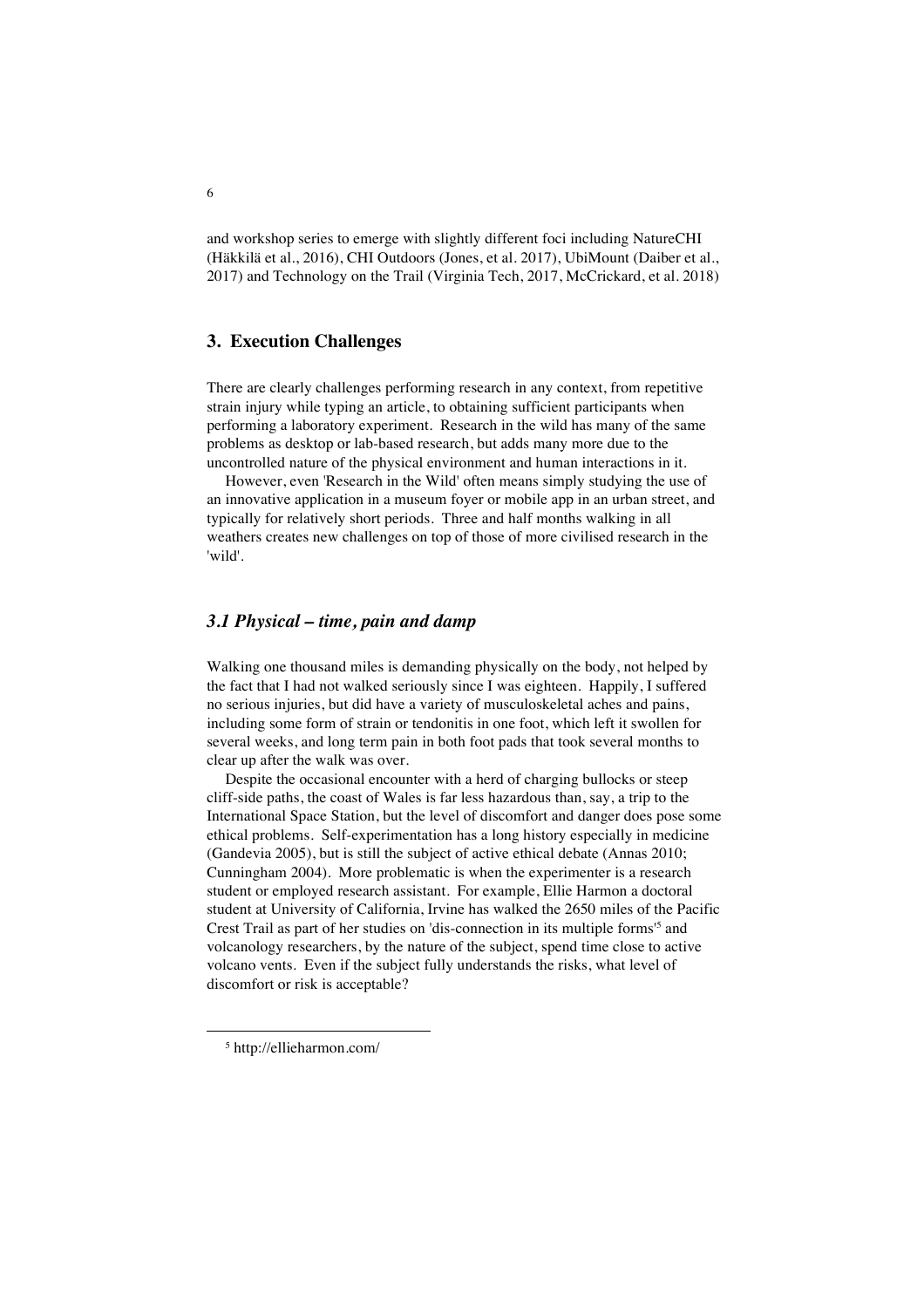and workshop series to emerge with slightly different foci including NatureCHI (Häkkilä et al., 2016), CHI Outdoors (Jones, et al. 2017), UbiMount (Daiber et al., 2017) and Technology on the Trail (Virginia Tech, 2017, McCrickard, et al. 2018)

# **3. Execution Challenges**

There are clearly challenges performing research in any context, from repetitive strain injury while typing an article, to obtaining sufficient participants when performing a laboratory experiment. Research in the wild has many of the same problems as desktop or lab-based research, but adds many more due to the uncontrolled nature of the physical environment and human interactions in it.

However, even 'Research in the Wild' often means simply studying the use of an innovative application in a museum foyer or mobile app in an urban street, and typically for relatively short periods. Three and half months walking in all weathers creates new challenges on top of those of more civilised research in the 'wild'.

### *3.1 Physical – time, pain and damp*

Walking one thousand miles is demanding physically on the body, not helped by the fact that I had not walked seriously since I was eighteen. Happily, I suffered no serious injuries, but did have a variety of musculoskeletal aches and pains, including some form of strain or tendonitis in one foot, which left it swollen for several weeks, and long term pain in both foot pads that took several months to clear up after the walk was over.

Despite the occasional encounter with a herd of charging bullocks or steep cliff-side paths, the coast of Wales is far less hazardous than, say, a trip to the International Space Station, but the level of discomfort and danger does pose some ethical problems. Self-experimentation has a long history especially in medicine (Gandevia 2005), but is still the subject of active ethical debate (Annas 2010; Cunningham 2004). More problematic is when the experimenter is a research student or employed research assistant. For example, Ellie Harmon a doctoral student at University of California, Irvine has walked the 2650 miles of the Pacific Crest Trail as part of her studies on 'dis-connection in its multiple forms' <sup>5</sup> and volcanology researchers, by the nature of the subject, spend time close to active volcano vents. Even if the subject fully understands the risks, what level of discomfort or risk is acceptable?

 <sup>5</sup> http://ellieharmon.com/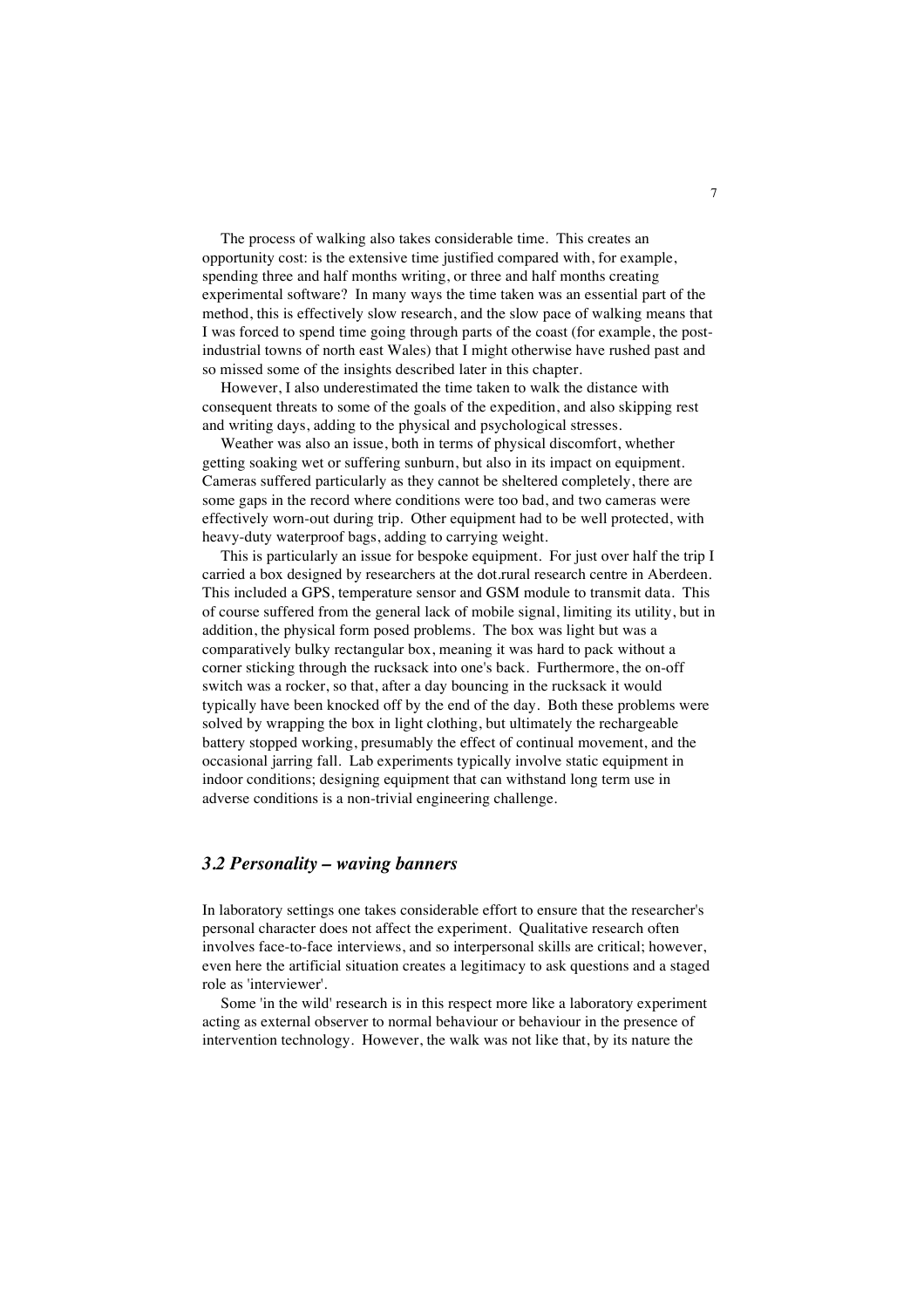The process of walking also takes considerable time. This creates an opportunity cost: is the extensive time justified compared with, for example, spending three and half months writing, or three and half months creating experimental software? In many ways the time taken was an essential part of the method, this is effectively slow research, and the slow pace of walking means that I was forced to spend time going through parts of the coast (for example, the postindustrial towns of north east Wales) that I might otherwise have rushed past and so missed some of the insights described later in this chapter.

However, I also underestimated the time taken to walk the distance with consequent threats to some of the goals of the expedition, and also skipping rest and writing days, adding to the physical and psychological stresses.

Weather was also an issue, both in terms of physical discomfort, whether getting soaking wet or suffering sunburn, but also in its impact on equipment. Cameras suffered particularly as they cannot be sheltered completely, there are some gaps in the record where conditions were too bad, and two cameras were effectively worn-out during trip. Other equipment had to be well protected, with heavy-duty waterproof bags, adding to carrying weight.

This is particularly an issue for bespoke equipment. For just over half the trip I carried a box designed by researchers at the dot.rural research centre in Aberdeen. This included a GPS, temperature sensor and GSM module to transmit data. This of course suffered from the general lack of mobile signal, limiting its utility, but in addition, the physical form posed problems. The box was light but was a comparatively bulky rectangular box, meaning it was hard to pack without a corner sticking through the rucksack into one's back. Furthermore, the on-off switch was a rocker, so that, after a day bouncing in the rucksack it would typically have been knocked off by the end of the day. Both these problems were solved by wrapping the box in light clothing, but ultimately the rechargeable battery stopped working, presumably the effect of continual movement, and the occasional jarring fall. Lab experiments typically involve static equipment in indoor conditions; designing equipment that can withstand long term use in adverse conditions is a non-trivial engineering challenge.

# *3.2 Personality – waving banners*

In laboratory settings one takes considerable effort to ensure that the researcher's personal character does not affect the experiment. Qualitative research often involves face-to-face interviews, and so interpersonal skills are critical; however, even here the artificial situation creates a legitimacy to ask questions and a staged role as 'interviewer'.

Some 'in the wild' research is in this respect more like a laboratory experiment acting as external observer to normal behaviour or behaviour in the presence of intervention technology. However, the walk was not like that, by its nature the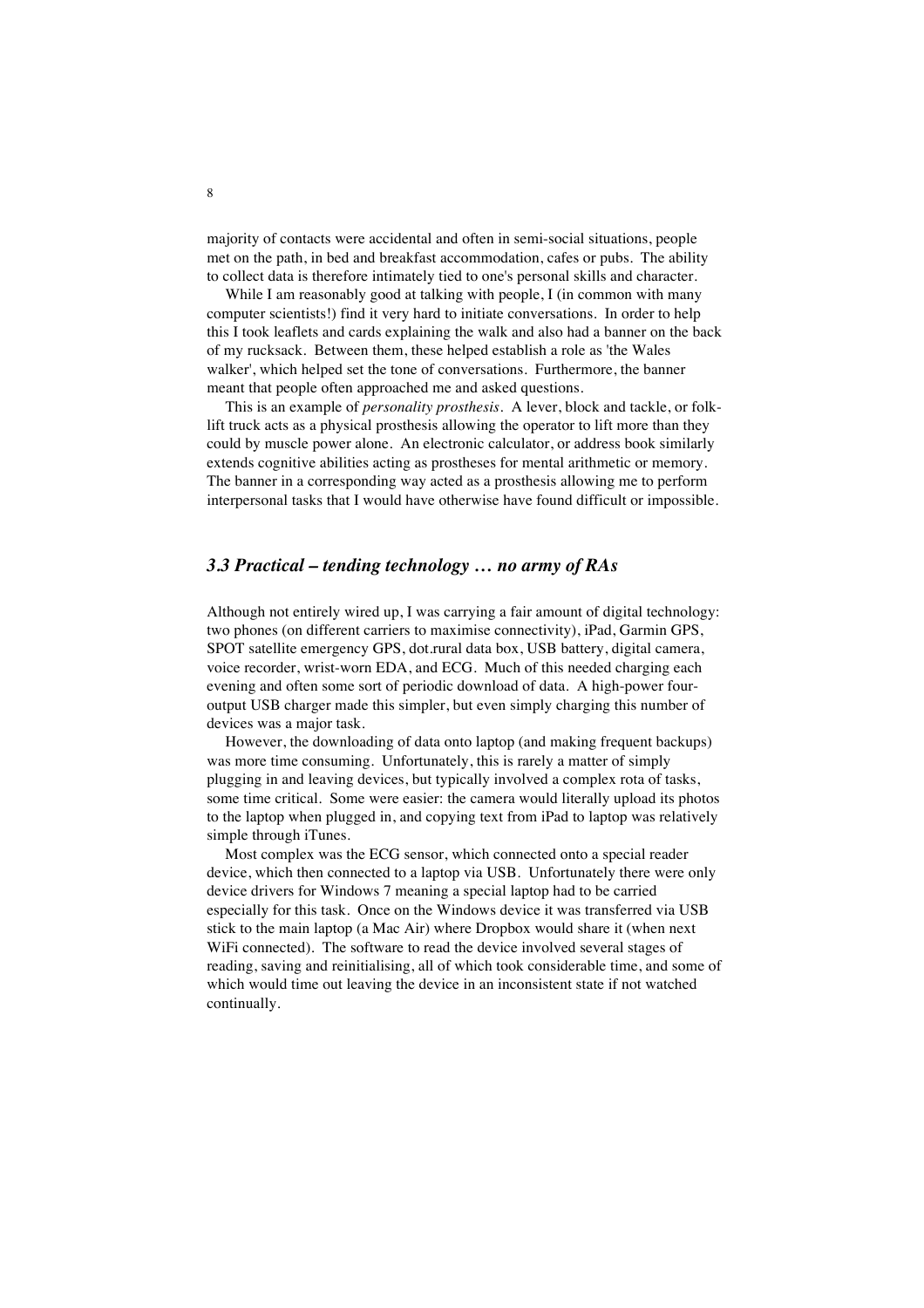majority of contacts were accidental and often in semi-social situations, people met on the path, in bed and breakfast accommodation, cafes or pubs. The ability to collect data is therefore intimately tied to one's personal skills and character.

While I am reasonably good at talking with people, I (in common with many computer scientists!) find it very hard to initiate conversations. In order to help this I took leaflets and cards explaining the walk and also had a banner on the back of my rucksack. Between them, these helped establish a role as 'the Wales walker', which helped set the tone of conversations. Furthermore, the banner meant that people often approached me and asked questions.

This is an example of *personality prosthesis*. A lever, block and tackle, or folklift truck acts as a physical prosthesis allowing the operator to lift more than they could by muscle power alone. An electronic calculator, or address book similarly extends cognitive abilities acting as prostheses for mental arithmetic or memory. The banner in a corresponding way acted as a prosthesis allowing me to perform interpersonal tasks that I would have otherwise have found difficult or impossible.

# *3.3 Practical – tending technology … no army of RAs*

Although not entirely wired up, I was carrying a fair amount of digital technology: two phones (on different carriers to maximise connectivity), iPad, Garmin GPS, SPOT satellite emergency GPS, dot.rural data box, USB battery, digital camera, voice recorder, wrist-worn EDA, and ECG. Much of this needed charging each evening and often some sort of periodic download of data. A high-power fouroutput USB charger made this simpler, but even simply charging this number of devices was a major task.

However, the downloading of data onto laptop (and making frequent backups) was more time consuming. Unfortunately, this is rarely a matter of simply plugging in and leaving devices, but typically involved a complex rota of tasks, some time critical. Some were easier: the camera would literally upload its photos to the laptop when plugged in, and copying text from iPad to laptop was relatively simple through iTunes.

Most complex was the ECG sensor, which connected onto a special reader device, which then connected to a laptop via USB. Unfortunately there were only device drivers for Windows 7 meaning a special laptop had to be carried especially for this task. Once on the Windows device it was transferred via USB stick to the main laptop (a Mac Air) where Dropbox would share it (when next WiFi connected). The software to read the device involved several stages of reading, saving and reinitialising, all of which took considerable time, and some of which would time out leaving the device in an inconsistent state if not watched continually.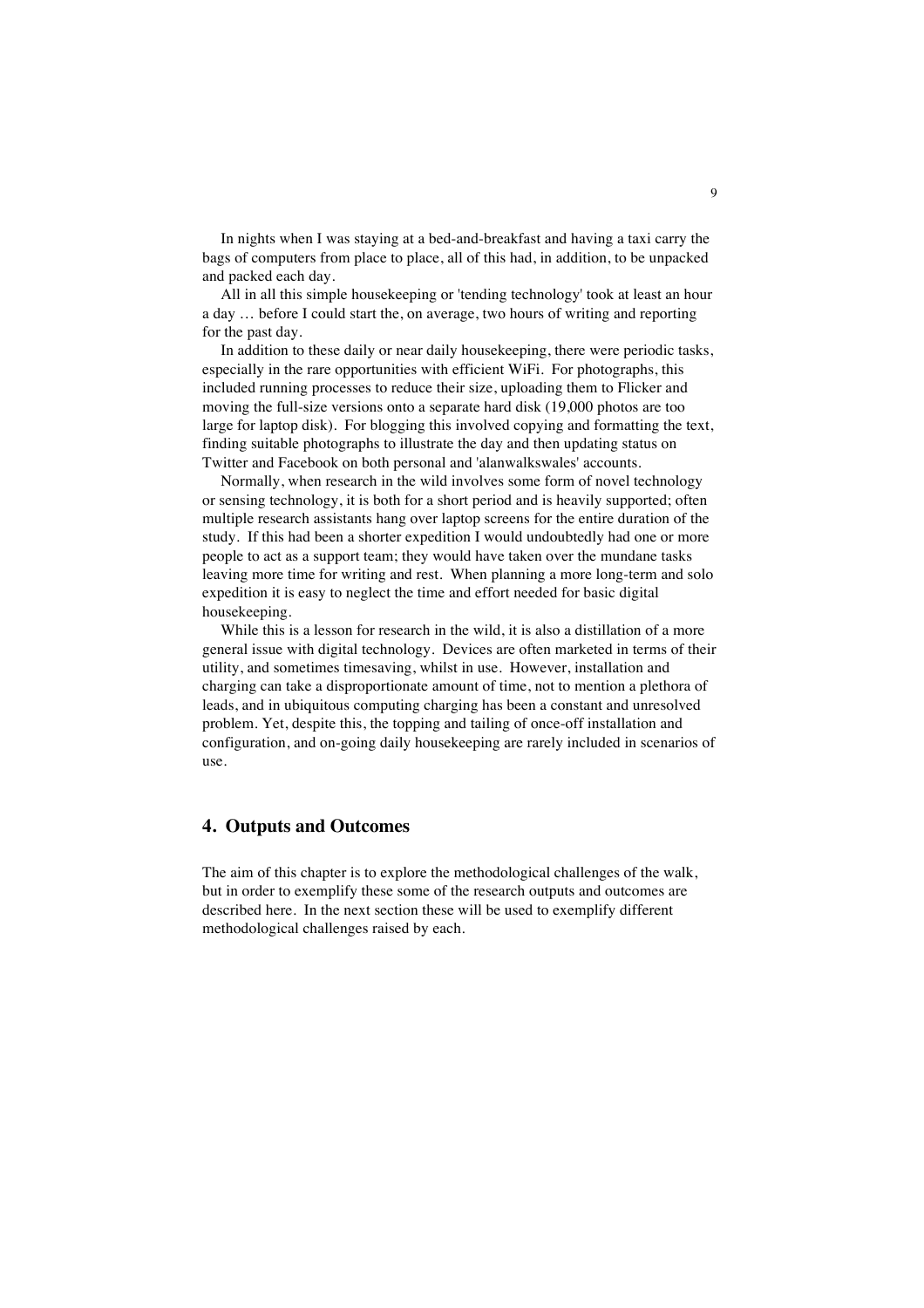In nights when I was staying at a bed-and-breakfast and having a taxi carry the bags of computers from place to place, all of this had, in addition, to be unpacked and packed each day.

All in all this simple housekeeping or 'tending technology' took at least an hour a day … before I could start the, on average, two hours of writing and reporting for the past day.

In addition to these daily or near daily housekeeping, there were periodic tasks, especially in the rare opportunities with efficient WiFi. For photographs, this included running processes to reduce their size, uploading them to Flicker and moving the full-size versions onto a separate hard disk (19,000 photos are too large for laptop disk). For blogging this involved copying and formatting the text, finding suitable photographs to illustrate the day and then updating status on Twitter and Facebook on both personal and 'alanwalkswales' accounts.

Normally, when research in the wild involves some form of novel technology or sensing technology, it is both for a short period and is heavily supported; often multiple research assistants hang over laptop screens for the entire duration of the study. If this had been a shorter expedition I would undoubtedly had one or more people to act as a support team; they would have taken over the mundane tasks leaving more time for writing and rest. When planning a more long-term and solo expedition it is easy to neglect the time and effort needed for basic digital housekeeping.

While this is a lesson for research in the wild, it is also a distillation of a more general issue with digital technology. Devices are often marketed in terms of their utility, and sometimes timesaving, whilst in use. However, installation and charging can take a disproportionate amount of time, not to mention a plethora of leads, and in ubiquitous computing charging has been a constant and unresolved problem. Yet, despite this, the topping and tailing of once-off installation and configuration, and on-going daily housekeeping are rarely included in scenarios of use.

#### **4. Outputs and Outcomes**

The aim of this chapter is to explore the methodological challenges of the walk, but in order to exemplify these some of the research outputs and outcomes are described here. In the next section these will be used to exemplify different methodological challenges raised by each.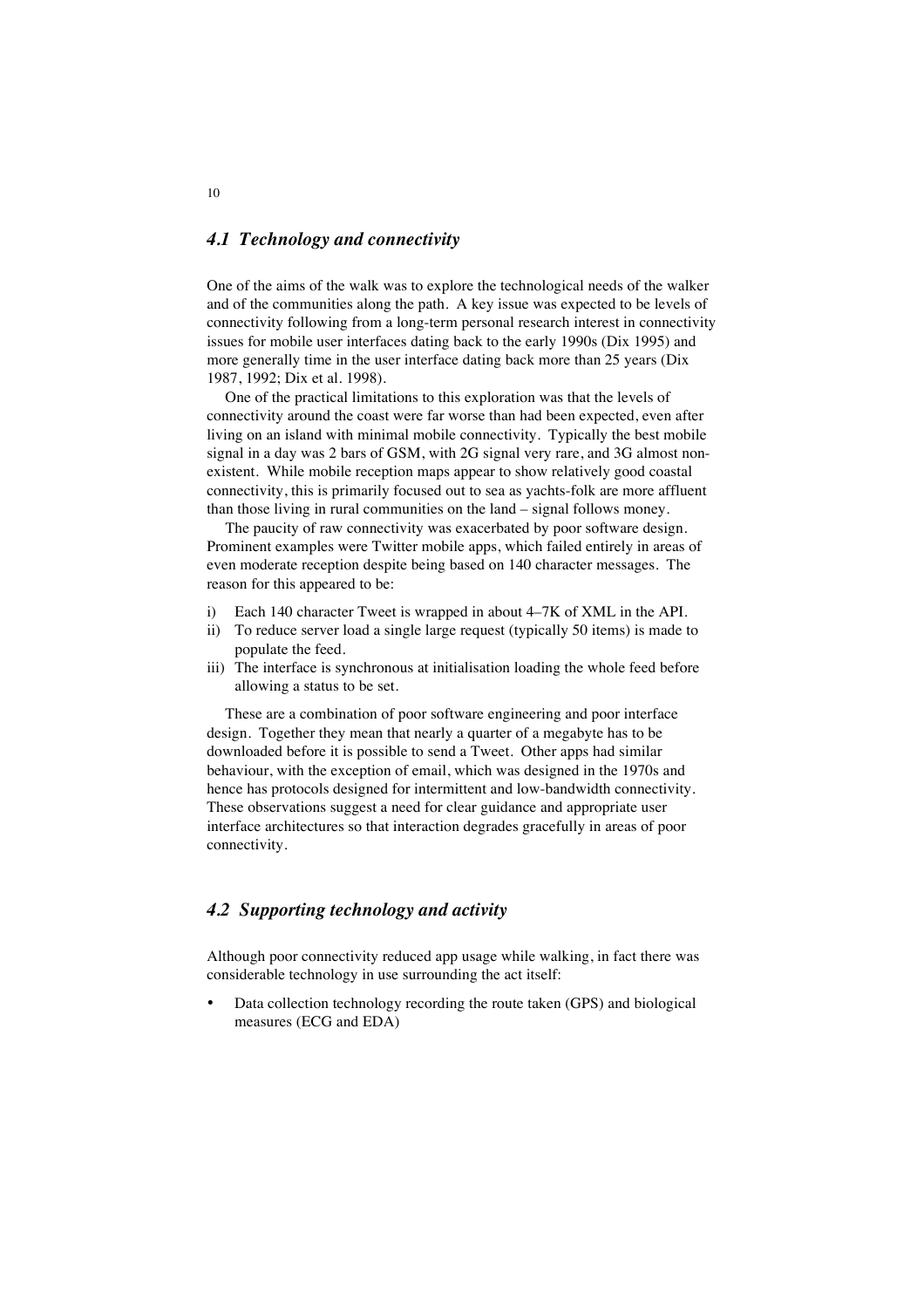# *4.1 Technology and connectivity*

One of the aims of the walk was to explore the technological needs of the walker and of the communities along the path. A key issue was expected to be levels of connectivity following from a long-term personal research interest in connectivity issues for mobile user interfaces dating back to the early 1990s (Dix 1995) and more generally time in the user interface dating back more than 25 years (Dix 1987, 1992; Dix et al. 1998).

One of the practical limitations to this exploration was that the levels of connectivity around the coast were far worse than had been expected, even after living on an island with minimal mobile connectivity. Typically the best mobile signal in a day was 2 bars of GSM, with 2G signal very rare, and 3G almost nonexistent. While mobile reception maps appear to show relatively good coastal connectivity, this is primarily focused out to sea as yachts-folk are more affluent than those living in rural communities on the land – signal follows money.

The paucity of raw connectivity was exacerbated by poor software design. Prominent examples were Twitter mobile apps, which failed entirely in areas of even moderate reception despite being based on 140 character messages. The reason for this appeared to be:

- i) Each 140 character Tweet is wrapped in about 4–7K of XML in the API.
- ii) To reduce server load a single large request (typically 50 items) is made to populate the feed.
- iii) The interface is synchronous at initialisation loading the whole feed before allowing a status to be set.

These are a combination of poor software engineering and poor interface design. Together they mean that nearly a quarter of a megabyte has to be downloaded before it is possible to send a Tweet. Other apps had similar behaviour, with the exception of email, which was designed in the 1970s and hence has protocols designed for intermittent and low-bandwidth connectivity. These observations suggest a need for clear guidance and appropriate user interface architectures so that interaction degrades gracefully in areas of poor connectivity.

# *4.2 Supporting technology and activity*

Although poor connectivity reduced app usage while walking, in fact there was considerable technology in use surrounding the act itself:

• Data collection technology recording the route taken (GPS) and biological measures (ECG and EDA)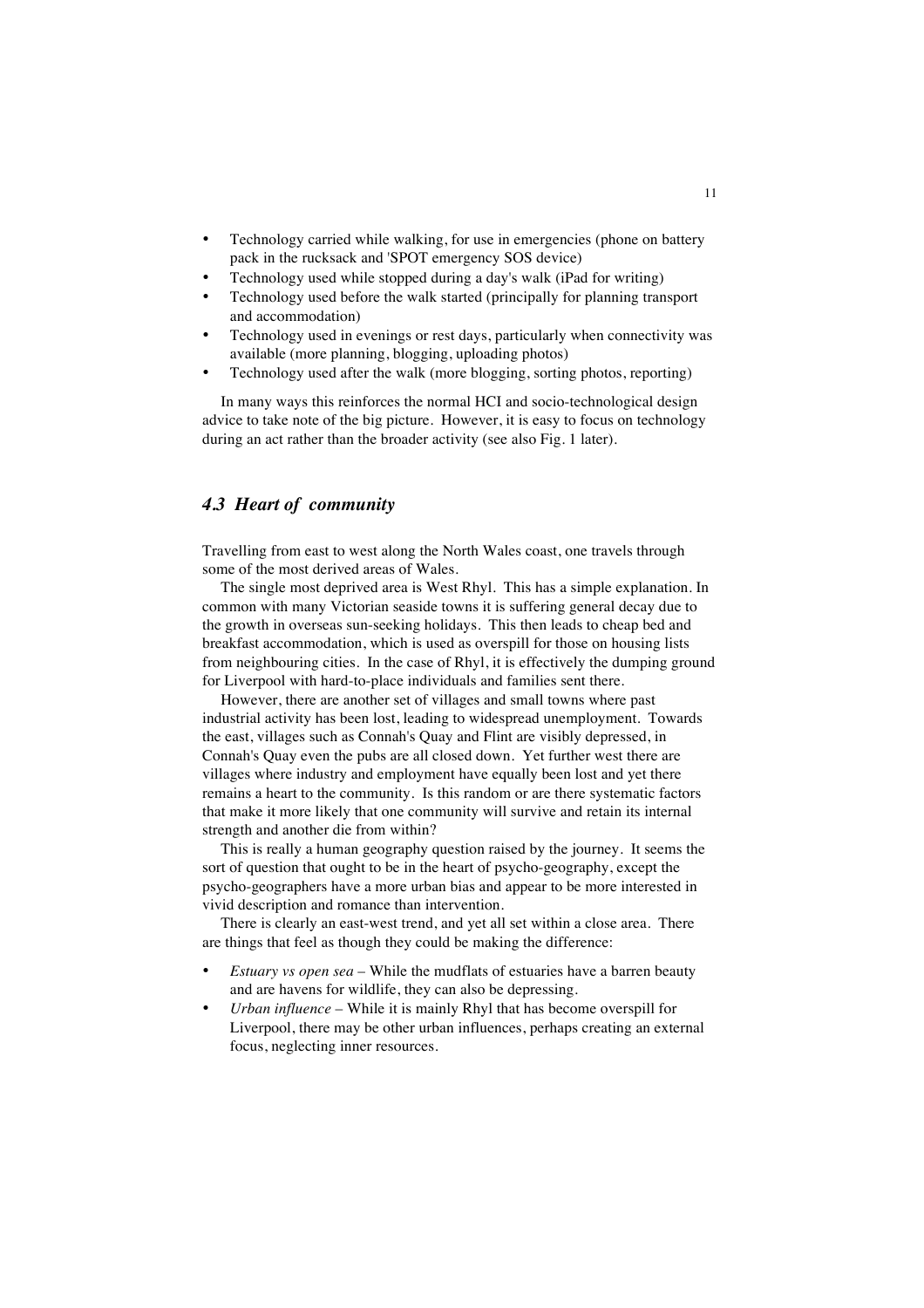- Technology carried while walking, for use in emergencies (phone on battery pack in the rucksack and 'SPOT emergency SOS device)
- Technology used while stopped during a day's walk (iPad for writing)
- Technology used before the walk started (principally for planning transport and accommodation)
- Technology used in evenings or rest days, particularly when connectivity was available (more planning, blogging, uploading photos)
- Technology used after the walk (more blogging, sorting photos, reporting)

In many ways this reinforces the normal HCI and socio-technological design advice to take note of the big picture. However, it is easy to focus on technology during an act rather than the broader activity (see also Fig. 1 later).

# *4.3 Heart of community*

Travelling from east to west along the North Wales coast, one travels through some of the most derived areas of Wales.

The single most deprived area is West Rhyl. This has a simple explanation. In common with many Victorian seaside towns it is suffering general decay due to the growth in overseas sun-seeking holidays. This then leads to cheap bed and breakfast accommodation, which is used as overspill for those on housing lists from neighbouring cities. In the case of Rhyl, it is effectively the dumping ground for Liverpool with hard-to-place individuals and families sent there.

However, there are another set of villages and small towns where past industrial activity has been lost, leading to widespread unemployment. Towards the east, villages such as Connah's Quay and Flint are visibly depressed, in Connah's Quay even the pubs are all closed down. Yet further west there are villages where industry and employment have equally been lost and yet there remains a heart to the community. Is this random or are there systematic factors that make it more likely that one community will survive and retain its internal strength and another die from within?

This is really a human geography question raised by the journey. It seems the sort of question that ought to be in the heart of psycho-geography, except the psycho-geographers have a more urban bias and appear to be more interested in vivid description and romance than intervention.

There is clearly an east-west trend, and yet all set within a close area. There are things that feel as though they could be making the difference:

- *Estuary vs open sea* While the mudflats of estuaries have a barren beauty and are havens for wildlife, they can also be depressing.
- *Urban influence*  While it is mainly Rhyl that has become overspill for Liverpool, there may be other urban influences, perhaps creating an external focus, neglecting inner resources.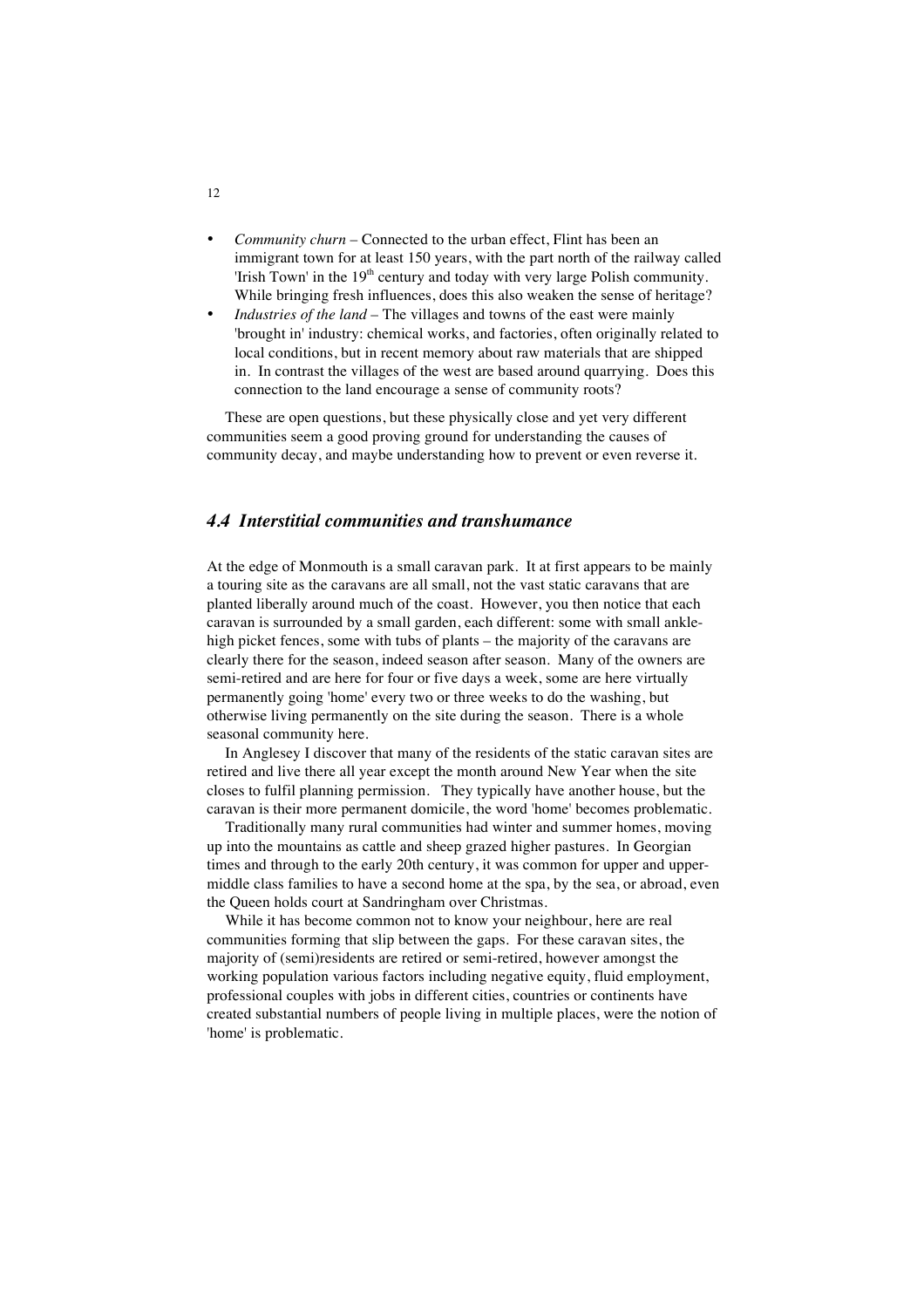- *Community churn*  Connected to the urban effect, Flint has been an immigrant town for at least 150 years, with the part north of the railway called 'Irish Town' in the 19<sup>th</sup> century and today with very large Polish community. While bringing fresh influences, does this also weaken the sense of heritage?
- Industries of the land The villages and towns of the east were mainly 'brought in' industry: chemical works, and factories, often originally related to local conditions, but in recent memory about raw materials that are shipped in. In contrast the villages of the west are based around quarrying. Does this connection to the land encourage a sense of community roots?

These are open questions, but these physically close and yet very different communities seem a good proving ground for understanding the causes of community decay, and maybe understanding how to prevent or even reverse it.

# *4.4 Interstitial communities and transhumance*

At the edge of Monmouth is a small caravan park. It at first appears to be mainly a touring site as the caravans are all small, not the vast static caravans that are planted liberally around much of the coast. However, you then notice that each caravan is surrounded by a small garden, each different: some with small anklehigh picket fences, some with tubs of plants – the majority of the caravans are clearly there for the season, indeed season after season. Many of the owners are semi-retired and are here for four or five days a week, some are here virtually permanently going 'home' every two or three weeks to do the washing, but otherwise living permanently on the site during the season. There is a whole seasonal community here.

In Anglesey I discover that many of the residents of the static caravan sites are retired and live there all year except the month around New Year when the site closes to fulfil planning permission. They typically have another house, but the caravan is their more permanent domicile, the word 'home' becomes problematic.

Traditionally many rural communities had winter and summer homes, moving up into the mountains as cattle and sheep grazed higher pastures. In Georgian times and through to the early 20th century, it was common for upper and uppermiddle class families to have a second home at the spa, by the sea, or abroad, even the Queen holds court at Sandringham over Christmas.

While it has become common not to know your neighbour, here are real communities forming that slip between the gaps. For these caravan sites, the majority of (semi)residents are retired or semi-retired, however amongst the working population various factors including negative equity, fluid employment, professional couples with jobs in different cities, countries or continents have created substantial numbers of people living in multiple places, were the notion of 'home' is problematic.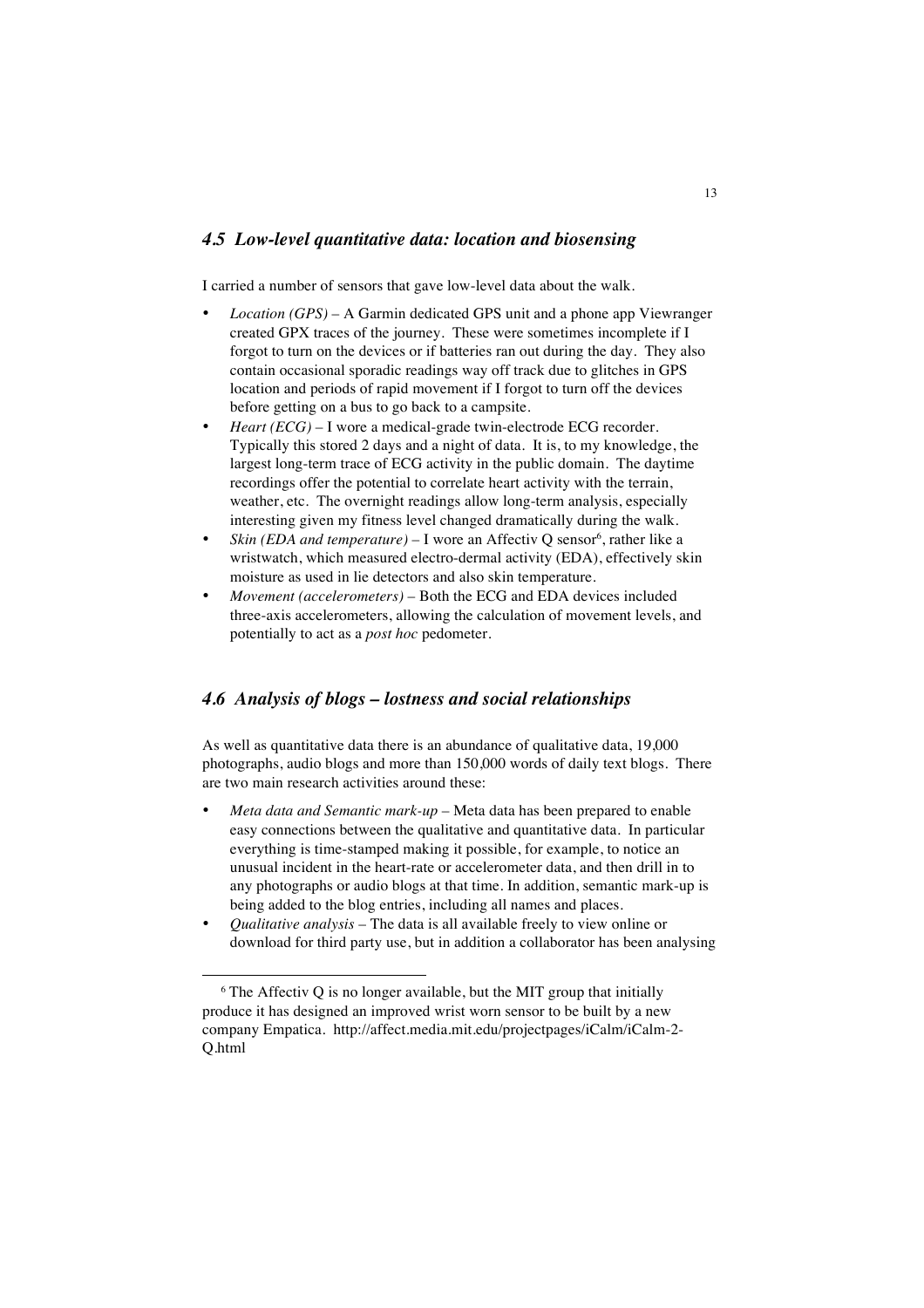# *4.5 Low-level quantitative data: location and biosensing*

I carried a number of sensors that gave low-level data about the walk.

- *Location (GPS)* A Garmin dedicated GPS unit and a phone app Viewranger created GPX traces of the journey. These were sometimes incomplete if I forgot to turn on the devices or if batteries ran out during the day. They also contain occasional sporadic readings way off track due to glitches in GPS location and periods of rapid movement if I forgot to turn off the devices before getting on a bus to go back to a campsite.
- *Heart (ECG)* I wore a medical-grade twin-electrode ECG recorder. Typically this stored 2 days and a night of data. It is, to my knowledge, the largest long-term trace of ECG activity in the public domain. The daytime recordings offer the potential to correlate heart activity with the terrain, weather, etc. The overnight readings allow long-term analysis, especially interesting given my fitness level changed dramatically during the walk.
- *Skin (EDA and temperature)* I wore an Affectiv Q sensor<sup>6</sup>, rather like a wristwatch, which measured electro-dermal activity (EDA), effectively skin moisture as used in lie detectors and also skin temperature.
- *Movement (accelerometers)*  Both the ECG and EDA devices included three-axis accelerometers, allowing the calculation of movement levels, and potentially to act as a *post hoc* pedometer.

# *4.6 Analysis of blogs – lostness and social relationships*

As well as quantitative data there is an abundance of qualitative data, 19,000 photographs, audio blogs and more than 150,000 words of daily text blogs. There are two main research activities around these:

- *Meta data and Semantic mark-up*  Meta data has been prepared to enable easy connections between the qualitative and quantitative data. In particular everything is time-stamped making it possible, for example, to notice an unusual incident in the heart-rate or accelerometer data, and then drill in to any photographs or audio blogs at that time. In addition, semantic mark-up is being added to the blog entries, including all names and places.
- *Qualitative analysis*  The data is all available freely to view online or download for third party use, but in addition a collaborator has been analysing

 $6$  The Affectiv Q is no longer available, but the MIT group that initially produce it has designed an improved wrist worn sensor to be built by a new company Empatica. http://affect.media.mit.edu/projectpages/iCalm/iCalm-2- Q.html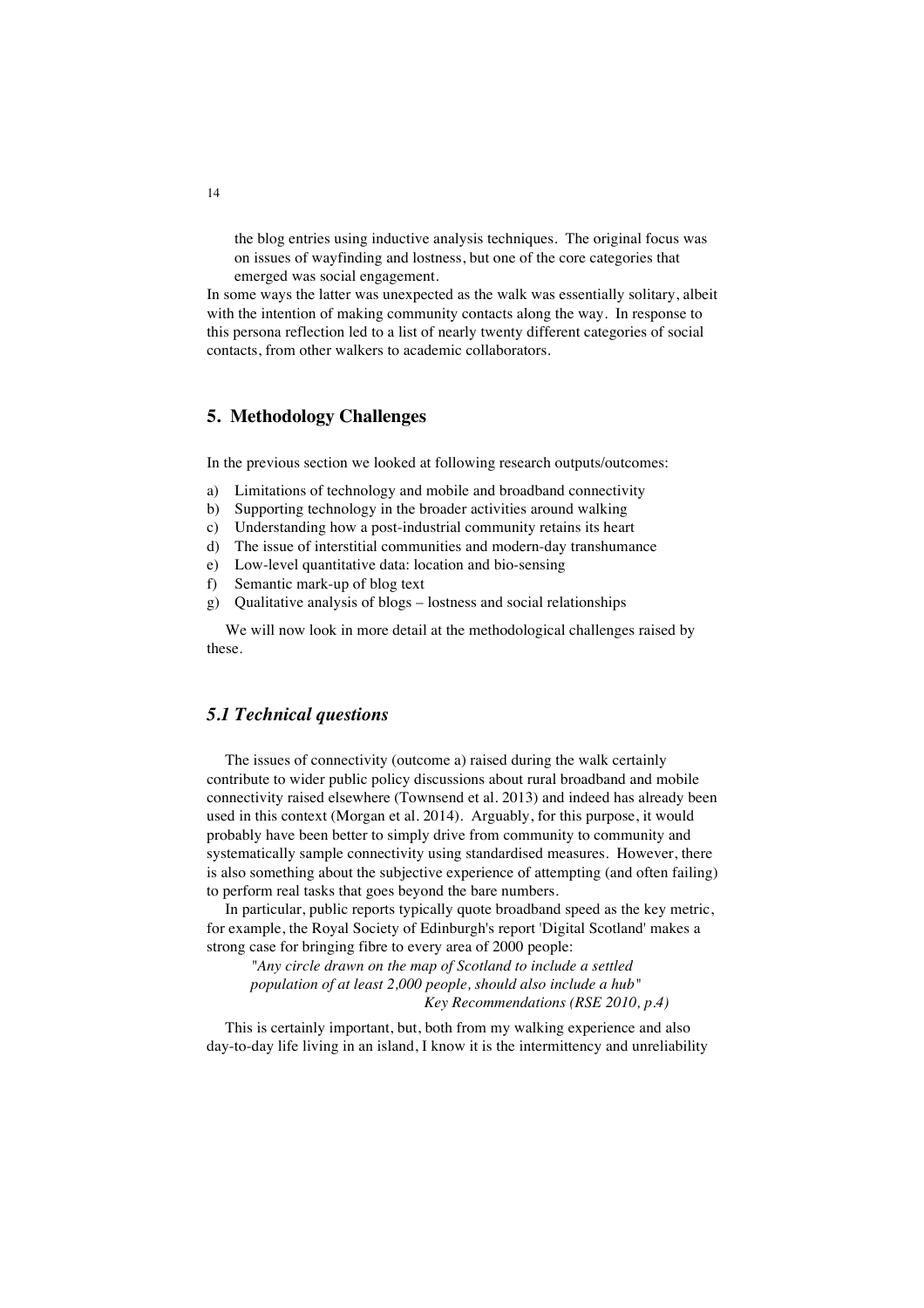the blog entries using inductive analysis techniques. The original focus was on issues of wayfinding and lostness, but one of the core categories that emerged was social engagement.

In some ways the latter was unexpected as the walk was essentially solitary, albeit with the intention of making community contacts along the way. In response to this persona reflection led to a list of nearly twenty different categories of social contacts, from other walkers to academic collaborators.

# **5. Methodology Challenges**

In the previous section we looked at following research outputs/outcomes:

- a) Limitations of technology and mobile and broadband connectivity
- b) Supporting technology in the broader activities around walking
- c) Understanding how a post-industrial community retains its heart
- d) The issue of interstitial communities and modern-day transhumance
- e) Low-level quantitative data: location and bio-sensing
- f) Semantic mark-up of blog text
- g) Qualitative analysis of blogs lostness and social relationships

We will now look in more detail at the methodological challenges raised by these.

### *5.1 Technical questions*

The issues of connectivity (outcome a) raised during the walk certainly contribute to wider public policy discussions about rural broadband and mobile connectivity raised elsewhere (Townsend et al. 2013) and indeed has already been used in this context (Morgan et al. 2014). Arguably, for this purpose, it would probably have been better to simply drive from community to community and systematically sample connectivity using standardised measures. However, there is also something about the subjective experience of attempting (and often failing) to perform real tasks that goes beyond the bare numbers.

In particular, public reports typically quote broadband speed as the key metric, for example, the Royal Society of Edinburgh's report 'Digital Scotland' makes a strong case for bringing fibre to every area of 2000 people:

*"Any circle drawn on the map of Scotland to include a settled population of at least 2,000 people, should also include a hub" Key Recommendations (RSE 2010, p.4)*

This is certainly important, but, both from my walking experience and also day-to-day life living in an island, I know it is the intermittency and unreliability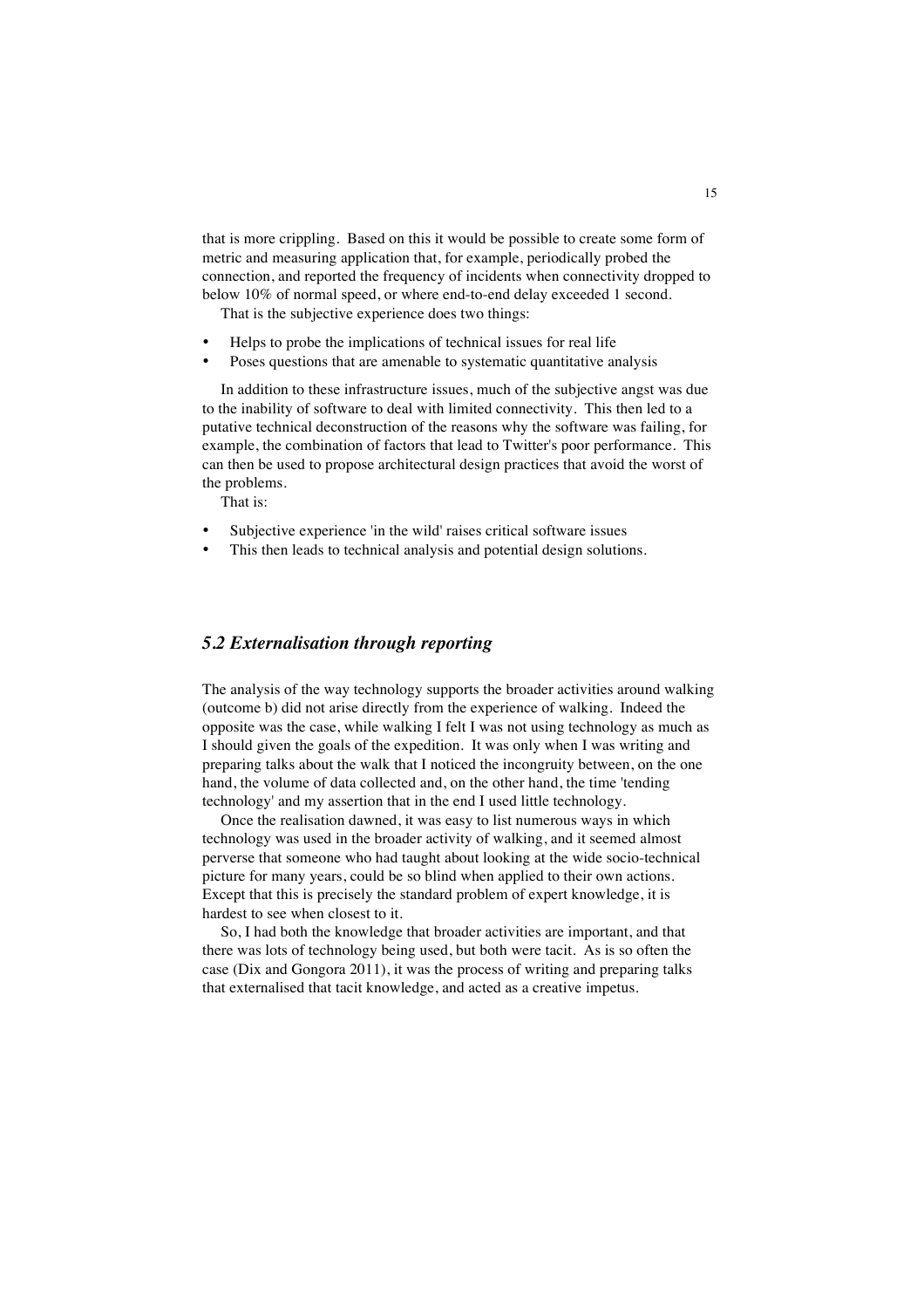that is more crippling. Based on this it would be possible to create some form of metric and measuring application that, for example, periodically probed the connection, and reported the frequency of incidents when connectivity dropped to below 10% of normal speed, or where end-to-end delay exceeded 1 second.

That is the subjective experience does two things:

- Helps to probe the implications of technical issues for real life
- Poses questions that are amenable to systematic quantitative analysis

In addition to these infrastructure issues, much of the subjective angst was due to the inability of software to deal with limited connectivity. This then led to a putative technical deconstruction of the reasons why the software was failing, for example, the combination of factors that lead to Twitter's poor performance. This can then be used to propose architectural design practices that avoid the worst of the problems.

That is:

- Subjective experience 'in the wild' raises critical software issues
- This then leads to technical analysis and potential design solutions.

### *5.2 Externalisation through reporting*

The analysis of the way technology supports the broader activities around walking (outcome b) did not arise directly from the experience of walking. Indeed the opposite was the case, while walking I felt I was not using technology as much as I should given the goals of the expedition. It was only when I was writing and preparing talks about the walk that I noticed the incongruity between, on the one hand, the volume of data collected and, on the other hand, the time 'tending technology' and my assertion that in the end I used little technology.

Once the realisation dawned, it was easy to list numerous ways in which technology was used in the broader activity of walking, and it seemed almost perverse that someone who had taught about looking at the wide socio-technical picture for many years, could be so blind when applied to their own actions. Except that this is precisely the standard problem of expert knowledge, it is hardest to see when closest to it.

So, I had both the knowledge that broader activities are important, and that there was lots of technology being used, but both were tacit. As is so often the case (Dix and Gongora 2011), it was the process of writing and preparing talks that externalised that tacit knowledge, and acted as a creative impetus.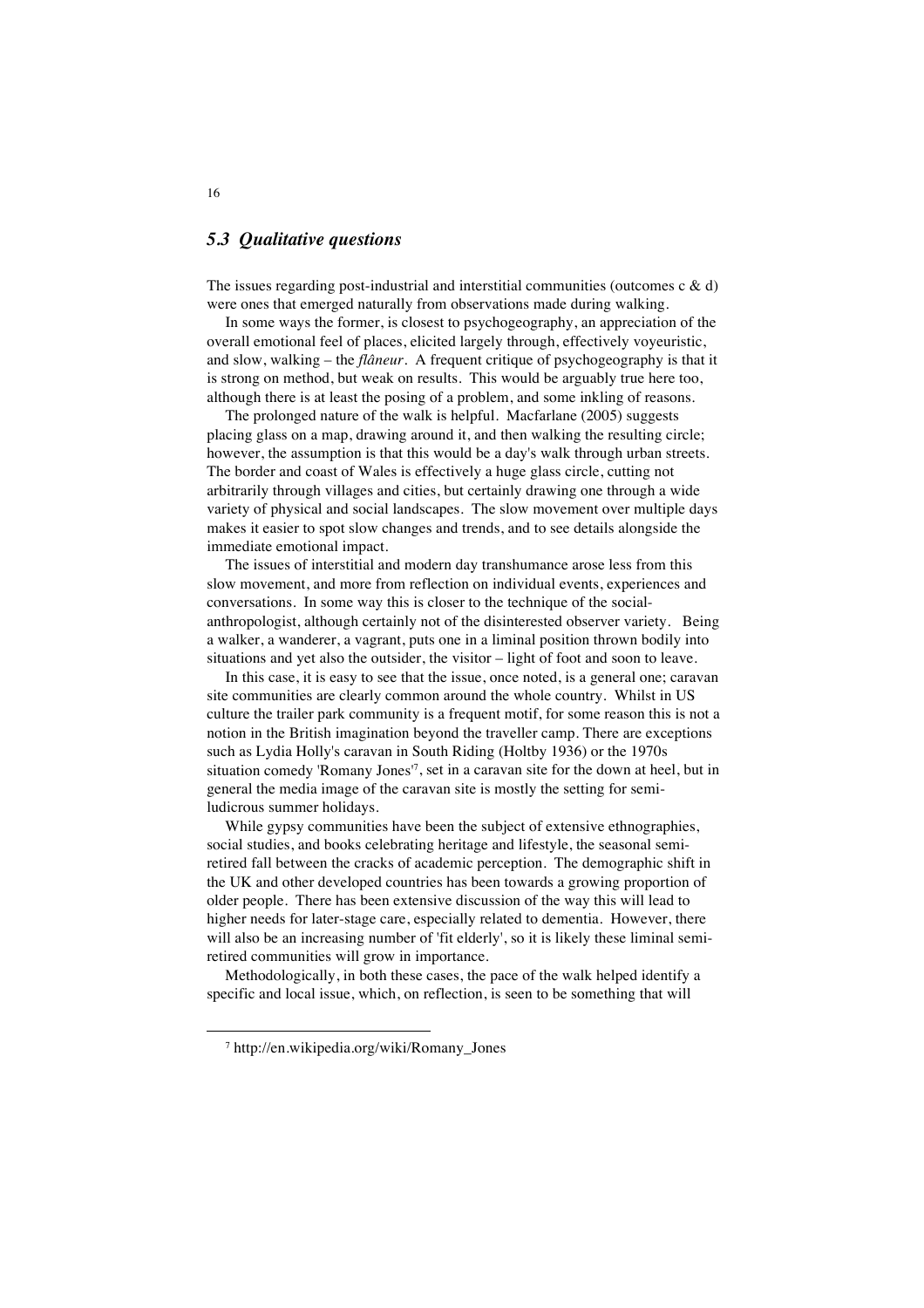# *5.3 Qualitative questions*

The issues regarding post-industrial and interstitial communities (outcomes  $c \& d$ ) were ones that emerged naturally from observations made during walking.

In some ways the former, is closest to psychogeography, an appreciation of the overall emotional feel of places, elicited largely through, effectively voyeuristic, and slow, walking – the *flâneur*. A frequent critique of psychogeography is that it is strong on method, but weak on results. This would be arguably true here too, although there is at least the posing of a problem, and some inkling of reasons.

The prolonged nature of the walk is helpful. Macfarlane (2005) suggests placing glass on a map, drawing around it, and then walking the resulting circle; however, the assumption is that this would be a day's walk through urban streets. The border and coast of Wales is effectively a huge glass circle, cutting not arbitrarily through villages and cities, but certainly drawing one through a wide variety of physical and social landscapes. The slow movement over multiple days makes it easier to spot slow changes and trends, and to see details alongside the immediate emotional impact.

The issues of interstitial and modern day transhumance arose less from this slow movement, and more from reflection on individual events, experiences and conversations. In some way this is closer to the technique of the socialanthropologist, although certainly not of the disinterested observer variety. Being a walker, a wanderer, a vagrant, puts one in a liminal position thrown bodily into situations and yet also the outsider, the visitor – light of foot and soon to leave.

In this case, it is easy to see that the issue, once noted, is a general one; caravan site communities are clearly common around the whole country. Whilst in US culture the trailer park community is a frequent motif, for some reason this is not a notion in the British imagination beyond the traveller camp. There are exceptions such as Lydia Holly's caravan in South Riding (Holtby 1936) or the 1970s situation comedy 'Romany Jones<sup>17</sup>, set in a caravan site for the down at heel, but in general the media image of the caravan site is mostly the setting for semiludicrous summer holidays.

While gypsy communities have been the subject of extensive ethnographies, social studies, and books celebrating heritage and lifestyle, the seasonal semiretired fall between the cracks of academic perception. The demographic shift in the UK and other developed countries has been towards a growing proportion of older people. There has been extensive discussion of the way this will lead to higher needs for later-stage care, especially related to dementia. However, there will also be an increasing number of 'fit elderly', so it is likely these liminal semiretired communities will grow in importance.

Methodologically, in both these cases, the pace of the walk helped identify a specific and local issue, which, on reflection, is seen to be something that will

 <sup>7</sup> http://en.wikipedia.org/wiki/Romany\_Jones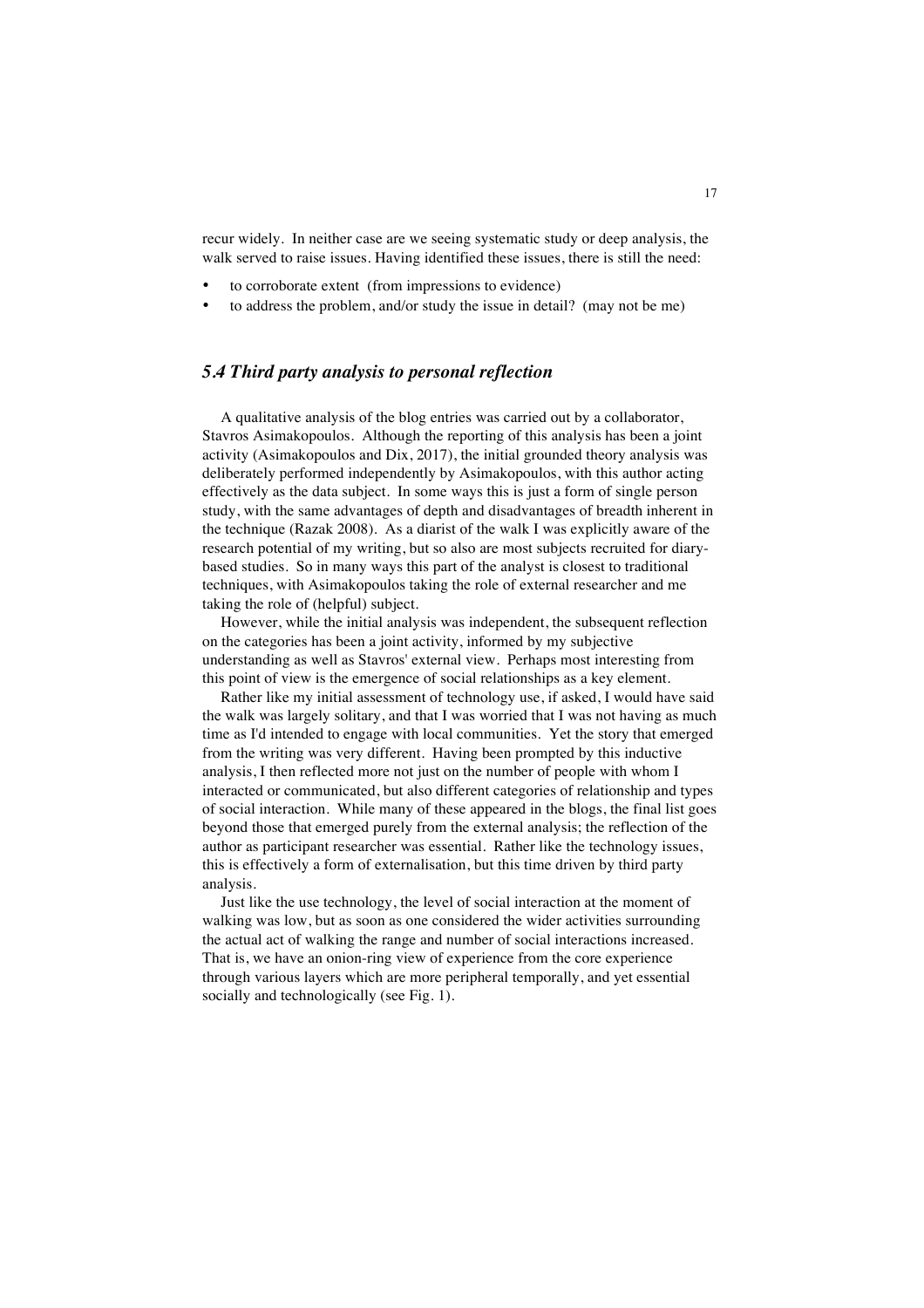recur widely. In neither case are we seeing systematic study or deep analysis, the walk served to raise issues. Having identified these issues, there is still the need:

- to corroborate extent (from impressions to evidence)
- to address the problem, and/or study the issue in detail? (may not be me)

# *5.4 Third party analysis to personal reflection*

A qualitative analysis of the blog entries was carried out by a collaborator, Stavros Asimakopoulos. Although the reporting of this analysis has been a joint activity (Asimakopoulos and Dix, 2017), the initial grounded theory analysis was deliberately performed independently by Asimakopoulos, with this author acting effectively as the data subject. In some ways this is just a form of single person study, with the same advantages of depth and disadvantages of breadth inherent in the technique (Razak 2008). As a diarist of the walk I was explicitly aware of the research potential of my writing, but so also are most subjects recruited for diarybased studies. So in many ways this part of the analyst is closest to traditional techniques, with Asimakopoulos taking the role of external researcher and me taking the role of (helpful) subject.

However, while the initial analysis was independent, the subsequent reflection on the categories has been a joint activity, informed by my subjective understanding as well as Stavros' external view. Perhaps most interesting from this point of view is the emergence of social relationships as a key element.

Rather like my initial assessment of technology use, if asked, I would have said the walk was largely solitary, and that I was worried that I was not having as much time as I'd intended to engage with local communities. Yet the story that emerged from the writing was very different. Having been prompted by this inductive analysis, I then reflected more not just on the number of people with whom I interacted or communicated, but also different categories of relationship and types of social interaction. While many of these appeared in the blogs, the final list goes beyond those that emerged purely from the external analysis; the reflection of the author as participant researcher was essential. Rather like the technology issues, this is effectively a form of externalisation, but this time driven by third party analysis.

Just like the use technology, the level of social interaction at the moment of walking was low, but as soon as one considered the wider activities surrounding the actual act of walking the range and number of social interactions increased. That is, we have an onion-ring view of experience from the core experience through various layers which are more peripheral temporally, and yet essential socially and technologically (see Fig. 1).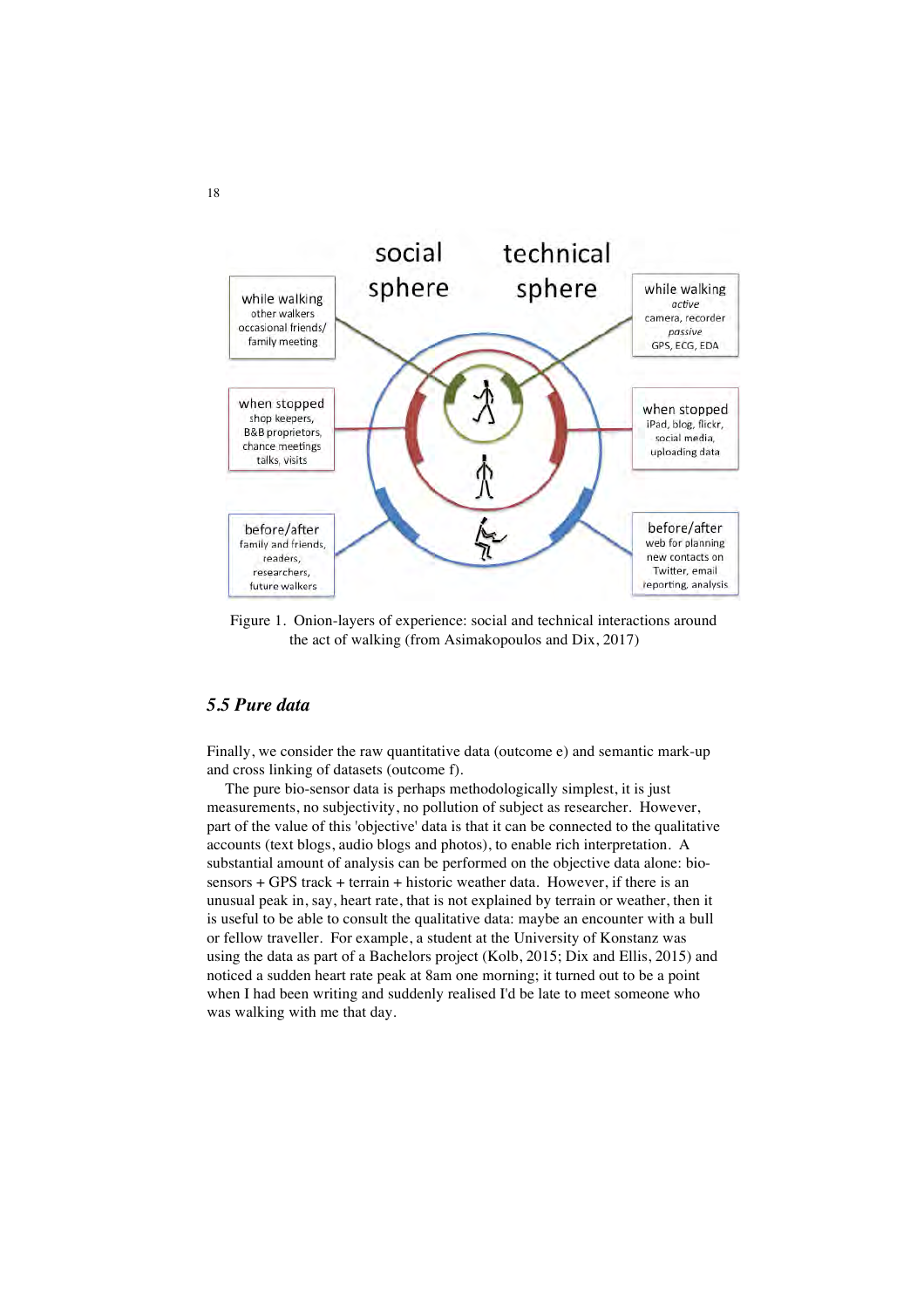

Figure 1. Onion-layers of experience: social and technical interactions around the act of walking (from Asimakopoulos and Dix, 2017)

# *5.5 Pure data*

Finally, we consider the raw quantitative data (outcome e) and semantic mark-up and cross linking of datasets (outcome f).

The pure bio-sensor data is perhaps methodologically simplest, it is just measurements, no subjectivity, no pollution of subject as researcher. However, part of the value of this 'objective' data is that it can be connected to the qualitative accounts (text blogs, audio blogs and photos), to enable rich interpretation. A substantial amount of analysis can be performed on the objective data alone: biosensors + GPS track + terrain + historic weather data. However, if there is an unusual peak in, say, heart rate, that is not explained by terrain or weather, then it is useful to be able to consult the qualitative data: maybe an encounter with a bull or fellow traveller. For example, a student at the University of Konstanz was using the data as part of a Bachelors project (Kolb, 2015; Dix and Ellis, 2015) and noticed a sudden heart rate peak at 8am one morning; it turned out to be a point when I had been writing and suddenly realised I'd be late to meet someone who was walking with me that day.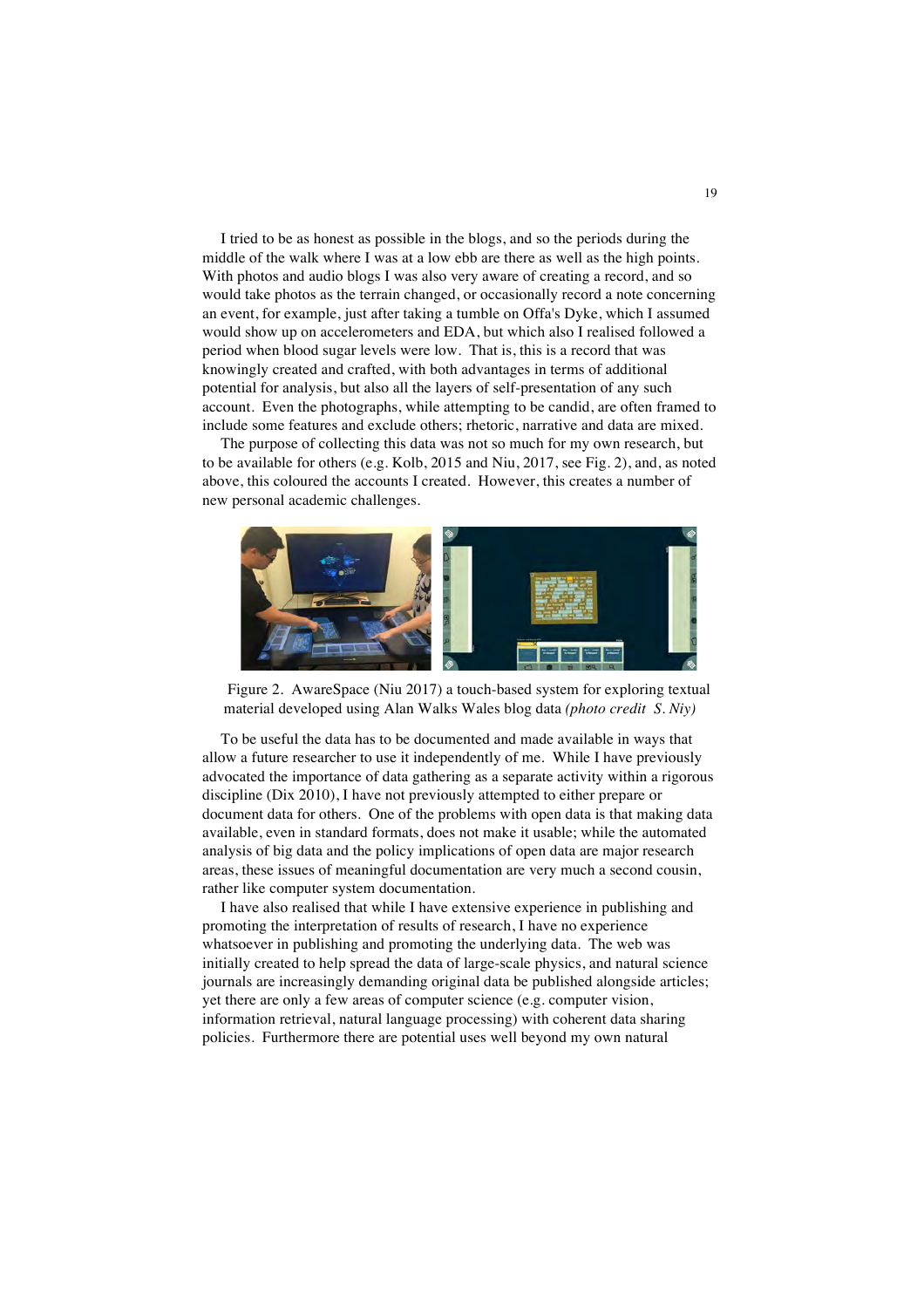I tried to be as honest as possible in the blogs, and so the periods during the middle of the walk where I was at a low ebb are there as well as the high points. With photos and audio blogs I was also very aware of creating a record, and so would take photos as the terrain changed, or occasionally record a note concerning an event, for example, just after taking a tumble on Offa's Dyke, which I assumed would show up on accelerometers and EDA, but which also I realised followed a period when blood sugar levels were low. That is, this is a record that was knowingly created and crafted, with both advantages in terms of additional potential for analysis, but also all the layers of self-presentation of any such account. Even the photographs, while attempting to be candid, are often framed to include some features and exclude others; rhetoric, narrative and data are mixed.

The purpose of collecting this data was not so much for my own research, but to be available for others (e.g. Kolb, 2015 and Niu, 2017, see Fig. 2), and, as noted above, this coloured the accounts I created. However, this creates a number of new personal academic challenges.



Figure 2. AwareSpace (Niu 2017) a touch-based system for exploring textual material developed using Alan Walks Wales blog data *(photo credit S. Niy)*

To be useful the data has to be documented and made available in ways that allow a future researcher to use it independently of me. While I have previously advocated the importance of data gathering as a separate activity within a rigorous discipline (Dix 2010), I have not previously attempted to either prepare or document data for others. One of the problems with open data is that making data available, even in standard formats, does not make it usable; while the automated analysis of big data and the policy implications of open data are major research areas, these issues of meaningful documentation are very much a second cousin, rather like computer system documentation.

I have also realised that while I have extensive experience in publishing and promoting the interpretation of results of research, I have no experience whatsoever in publishing and promoting the underlying data. The web was initially created to help spread the data of large-scale physics, and natural science journals are increasingly demanding original data be published alongside articles; yet there are only a few areas of computer science (e.g. computer vision, information retrieval, natural language processing) with coherent data sharing policies. Furthermore there are potential uses well beyond my own natural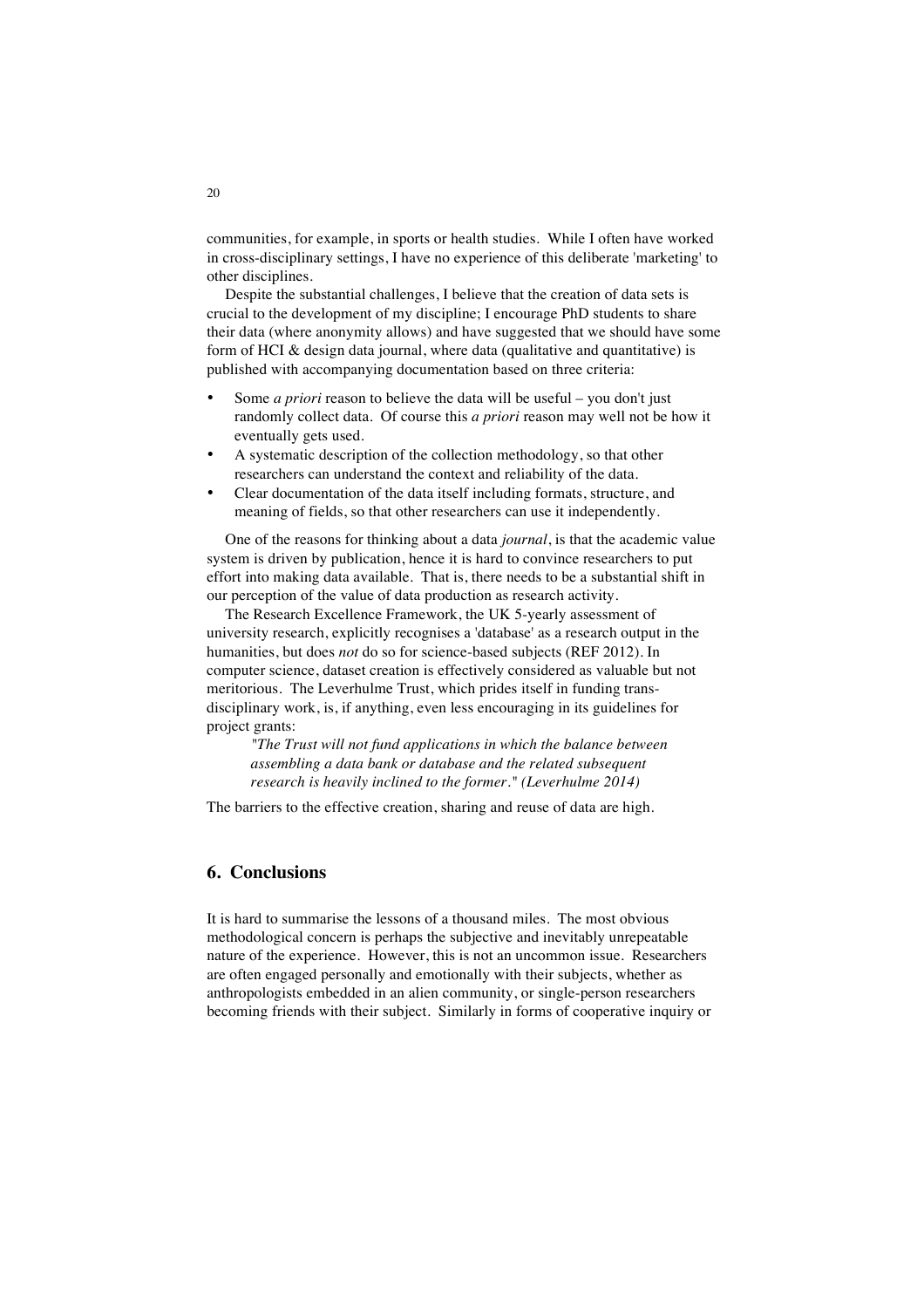communities, for example, in sports or health studies. While I often have worked in cross-disciplinary settings, I have no experience of this deliberate 'marketing' to other disciplines.

Despite the substantial challenges, I believe that the creation of data sets is crucial to the development of my discipline; I encourage PhD students to share their data (where anonymity allows) and have suggested that we should have some form of HCI & design data journal, where data (qualitative and quantitative) is published with accompanying documentation based on three criteria:

- Some *a priori* reason to believe the data will be useful you don't just randomly collect data. Of course this *a priori* reason may well not be how it eventually gets used.
- A systematic description of the collection methodology, so that other researchers can understand the context and reliability of the data.
- Clear documentation of the data itself including formats, structure, and meaning of fields, so that other researchers can use it independently.

One of the reasons for thinking about a data *journal*, is that the academic value system is driven by publication, hence it is hard to convince researchers to put effort into making data available. That is, there needs to be a substantial shift in our perception of the value of data production as research activity.

The Research Excellence Framework, the UK 5-yearly assessment of university research, explicitly recognises a 'database' as a research output in the humanities, but does *not* do so for science-based subjects (REF 2012). In computer science, dataset creation is effectively considered as valuable but not meritorious. The Leverhulme Trust, which prides itself in funding transdisciplinary work, is, if anything, even less encouraging in its guidelines for project grants:

*"The Trust will not fund applications in which the balance between assembling a data bank or database and the related subsequent research is heavily inclined to the former." (Leverhulme 2014)*

The barriers to the effective creation, sharing and reuse of data are high.

### **6. Conclusions**

It is hard to summarise the lessons of a thousand miles. The most obvious methodological concern is perhaps the subjective and inevitably unrepeatable nature of the experience. However, this is not an uncommon issue. Researchers are often engaged personally and emotionally with their subjects, whether as anthropologists embedded in an alien community, or single-person researchers becoming friends with their subject. Similarly in forms of cooperative inquiry or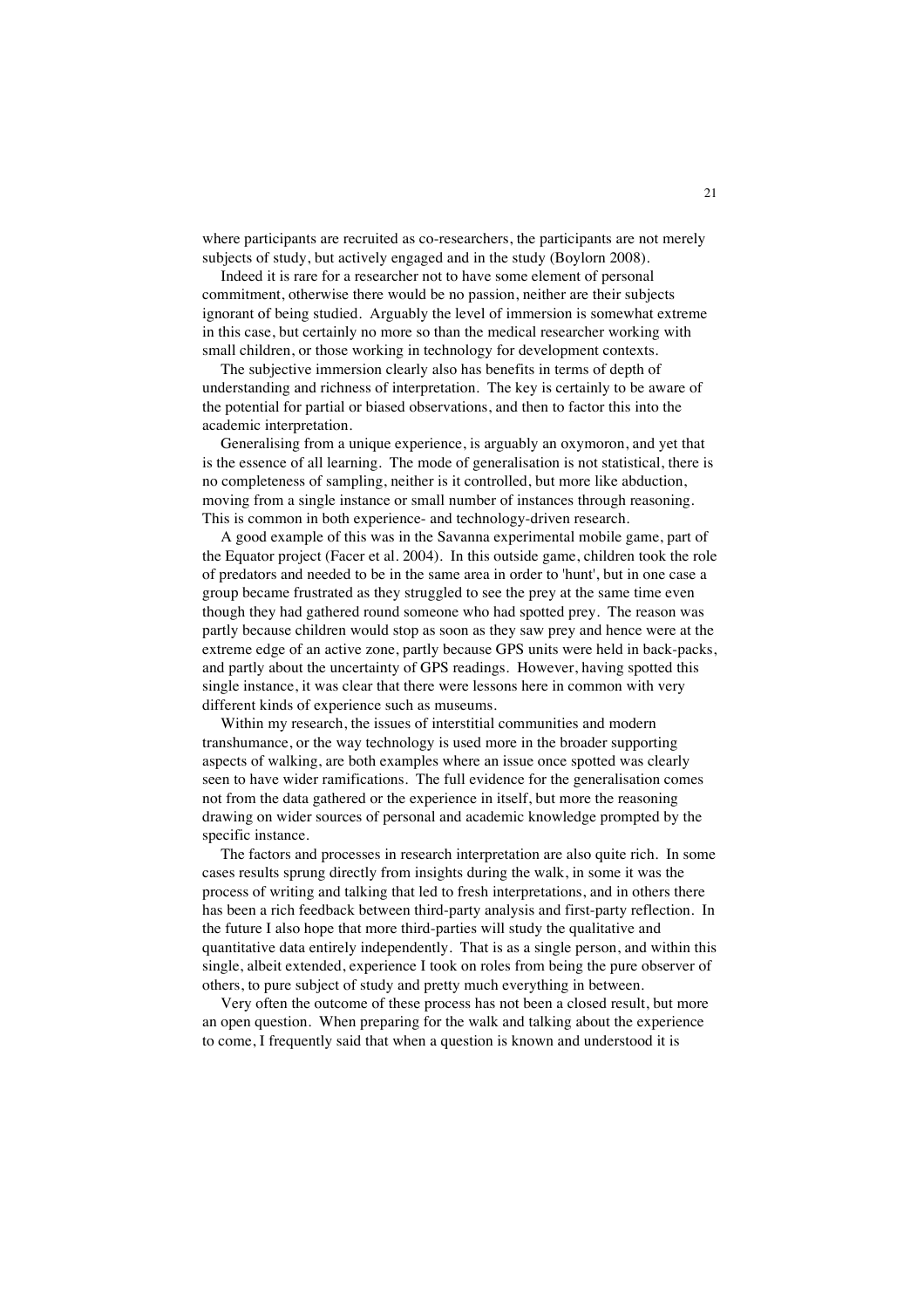where participants are recruited as co-researchers, the participants are not merely subjects of study, but actively engaged and in the study (Boylorn 2008).

Indeed it is rare for a researcher not to have some element of personal commitment, otherwise there would be no passion, neither are their subjects ignorant of being studied. Arguably the level of immersion is somewhat extreme in this case, but certainly no more so than the medical researcher working with small children, or those working in technology for development contexts.

The subjective immersion clearly also has benefits in terms of depth of understanding and richness of interpretation. The key is certainly to be aware of the potential for partial or biased observations, and then to factor this into the academic interpretation.

Generalising from a unique experience, is arguably an oxymoron, and yet that is the essence of all learning. The mode of generalisation is not statistical, there is no completeness of sampling, neither is it controlled, but more like abduction, moving from a single instance or small number of instances through reasoning. This is common in both experience- and technology-driven research.

A good example of this was in the Savanna experimental mobile game, part of the Equator project (Facer et al. 2004). In this outside game, children took the role of predators and needed to be in the same area in order to 'hunt', but in one case a group became frustrated as they struggled to see the prey at the same time even though they had gathered round someone who had spotted prey. The reason was partly because children would stop as soon as they saw prey and hence were at the extreme edge of an active zone, partly because GPS units were held in back-packs, and partly about the uncertainty of GPS readings. However, having spotted this single instance, it was clear that there were lessons here in common with very different kinds of experience such as museums.

Within my research, the issues of interstitial communities and modern transhumance, or the way technology is used more in the broader supporting aspects of walking, are both examples where an issue once spotted was clearly seen to have wider ramifications. The full evidence for the generalisation comes not from the data gathered or the experience in itself, but more the reasoning drawing on wider sources of personal and academic knowledge prompted by the specific instance.

The factors and processes in research interpretation are also quite rich. In some cases results sprung directly from insights during the walk, in some it was the process of writing and talking that led to fresh interpretations, and in others there has been a rich feedback between third-party analysis and first-party reflection. In the future I also hope that more third-parties will study the qualitative and quantitative data entirely independently. That is as a single person, and within this single, albeit extended, experience I took on roles from being the pure observer of others, to pure subject of study and pretty much everything in between.

Very often the outcome of these process has not been a closed result, but more an open question. When preparing for the walk and talking about the experience to come, I frequently said that when a question is known and understood it is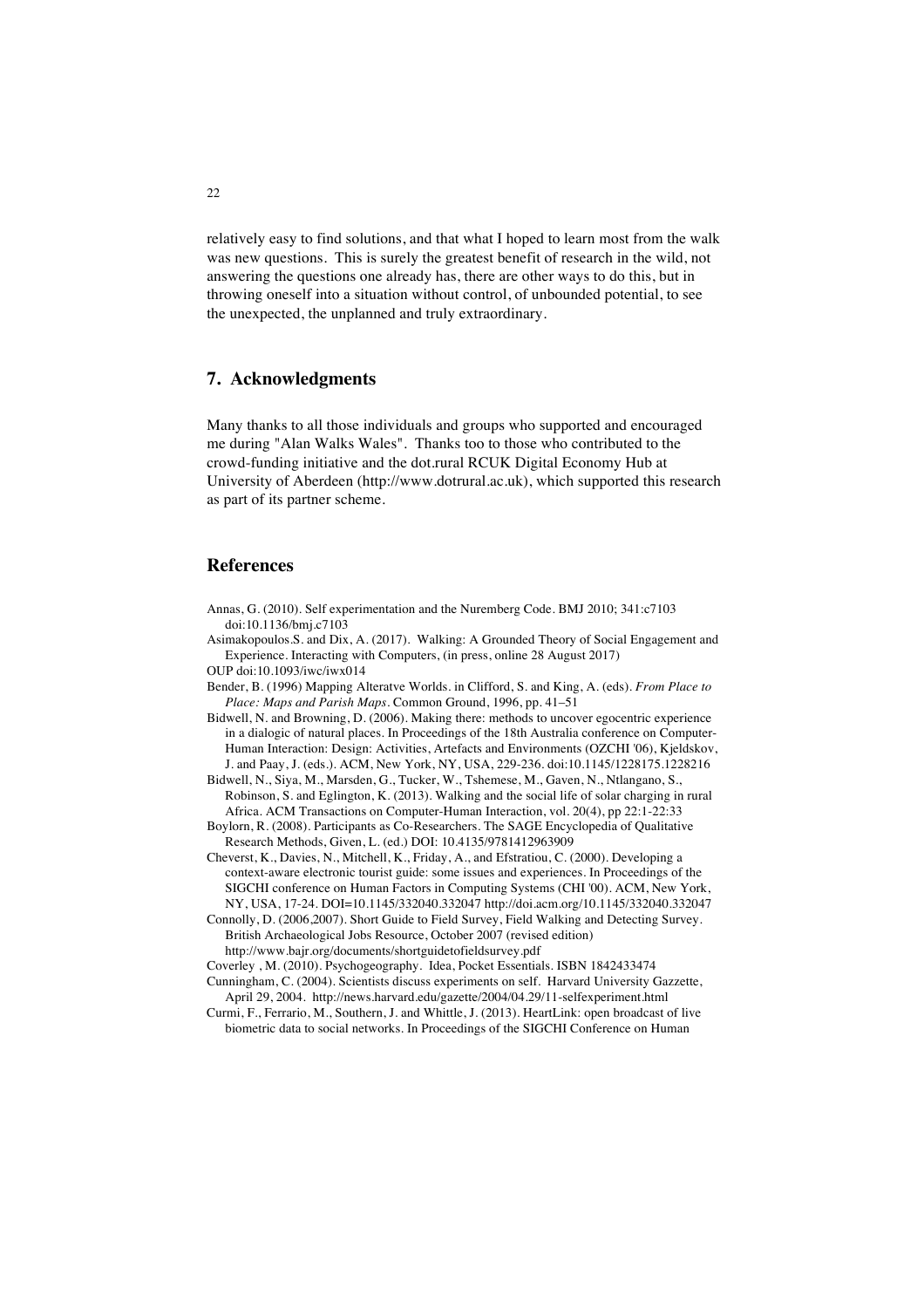relatively easy to find solutions, and that what I hoped to learn most from the walk was new questions. This is surely the greatest benefit of research in the wild, not answering the questions one already has, there are other ways to do this, but in throwing oneself into a situation without control, of unbounded potential, to see the unexpected, the unplanned and truly extraordinary.

# **7. Acknowledgments**

Many thanks to all those individuals and groups who supported and encouraged me during "Alan Walks Wales". Thanks too to those who contributed to the crowd-funding initiative and the dot.rural RCUK Digital Economy Hub at University of Aberdeen (http://www.dotrural.ac.uk), which supported this research as part of its partner scheme.

#### **References**

- Annas, G. (2010). Self experimentation and the Nuremberg Code. BMJ 2010; 341:c7103 doi:10.1136/bmj.c7103
- Asimakopoulos.S. and Dix, A. (2017). Walking: A Grounded Theory of Social Engagement and Experience. Interacting with Computers, (in press, online 28 August 2017)
- OUP doi:10.1093/iwc/iwx014

Bender, B. (1996) Mapping Alteratve Worlds. in Clifford, S. and King, A. (eds). *From Place to Place: Maps and Parish Maps*. Common Ground, 1996, pp. 41–51

Bidwell, N. and Browning, D. (2006). Making there: methods to uncover egocentric experience in a dialogic of natural places. In Proceedings of the 18th Australia conference on Computer-Human Interaction: Design: Activities, Artefacts and Environments (OZCHI '06), Kjeldskov, J. and Paay, J. (eds.). ACM, New York, NY, USA, 229-236. doi:10.1145/1228175.1228216

- Bidwell, N., Siya, M., Marsden, G., Tucker, W., Tshemese, M., Gaven, N., Ntlangano, S., Robinson, S. and Eglington, K. (2013). Walking and the social life of solar charging in rural Africa. ACM Transactions on Computer-Human Interaction, vol. 20(4), pp 22:1-22:33
- Boylorn, R. (2008). Participants as Co-Researchers. The SAGE Encyclopedia of Qualitative Research Methods, Given, L. (ed.) DOI: 10.4135/9781412963909

Cheverst, K., Davies, N., Mitchell, K., Friday, A., and Efstratiou, C. (2000). Developing a context-aware electronic tourist guide: some issues and experiences. In Proceedings of the SIGCHI conference on Human Factors in Computing Systems (CHI '00). ACM, New York, NY, USA, 17-24. DOI=10.1145/332040.332047 http://doi.acm.org/10.1145/332040.332047

Connolly, D. (2006,2007). Short Guide to Field Survey, Field Walking and Detecting Survey. British Archaeological Jobs Resource, October 2007 (revised edition) http://www.bajr.org/documents/shortguidetofieldsurvey.pdf

Coverley , M. (2010). Psychogeography. Idea, Pocket Essentials. ISBN 1842433474

Cunningham, C. (2004). Scientists discuss experiments on self. Harvard University Gazzette, April 29, 2004. http://news.harvard.edu/gazette/2004/04.29/11-selfexperiment.html

Curmi, F., Ferrario, M., Southern, J. and Whittle, J. (2013). HeartLink: open broadcast of live biometric data to social networks. In Proceedings of the SIGCHI Conference on Human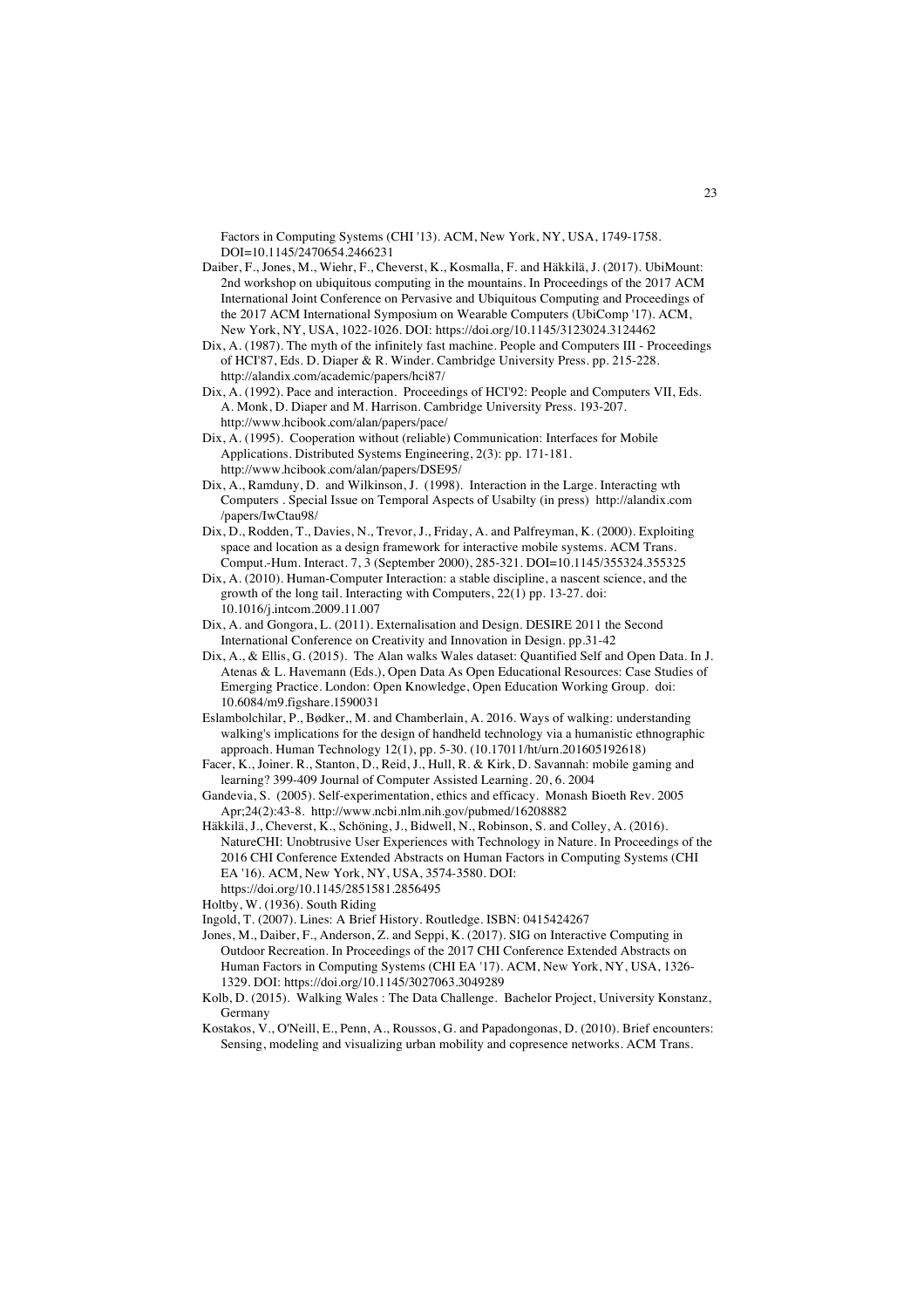Factors in Computing Systems (CHI '13). ACM, New York, NY, USA, 1749-1758. DOI=10.1145/2470654.2466231

- Daiber, F., Jones, M., Wiehr, F., Cheverst, K., Kosmalla, F. and Häkkilä, J. (2017). UbiMount: 2nd workshop on ubiquitous computing in the mountains. In Proceedings of the 2017 ACM International Joint Conference on Pervasive and Ubiquitous Computing and Proceedings of the 2017 ACM International Symposium on Wearable Computers (UbiComp '17). ACM, New York, NY, USA, 1022-1026. DOI: https://doi.org/10.1145/3123024.3124462
- Dix, A. (1987). The myth of the infinitely fast machine. People and Computers III Proceedings of HCI'87, Eds. D. Diaper & R. Winder. Cambridge University Press. pp. 215-228. http://alandix.com/academic/papers/hci87/
- Dix, A. (1992). Pace and interaction. Proceedings of HCI'92: People and Computers VII, Eds. A. Monk, D. Diaper and M. Harrison. Cambridge University Press. 193-207. http://www.hcibook.com/alan/papers/pace/
- Dix, A. (1995). Cooperation without (reliable) Communication: Interfaces for Mobile Applications. Distributed Systems Engineering, 2(3): pp. 171-181. http://www.hcibook.com/alan/papers/DSE95/
- Dix, A., Ramduny, D. and Wilkinson, J. (1998). Interaction in the Large. Interacting wth Computers . Special Issue on Temporal Aspects of Usabilty (in press) http://alandix.com /papers/IwCtau98/
- Dix, D., Rodden, T., Davies, N., Trevor, J., Friday, A. and Palfreyman, K. (2000). Exploiting space and location as a design framework for interactive mobile systems. ACM Trans. Comput.-Hum. Interact. 7, 3 (September 2000), 285-321. DOI=10.1145/355324.355325
- Dix, A. (2010). Human-Computer Interaction: a stable discipline, a nascent science, and the growth of the long tail. Interacting with Computers,  $22(1)$  pp. 13-27. doi: 10.1016/j.intcom.2009.11.007
- Dix, A. and Gongora, L. (2011). Externalisation and Design. DESIRE 2011 the Second International Conference on Creativity and Innovation in Design. pp.31-42
- Dix, A., & Ellis, G. (2015). The Alan walks Wales dataset: Quantified Self and Open Data. In J. Atenas & L. Havemann (Eds.), Open Data As Open Educational Resources: Case Studies of Emerging Practice. London: Open Knowledge, Open Education Working Group. doi: 10.6084/m9.figshare.1590031
- Eslambolchilar, P., Bødker,, M. and Chamberlain, A. 2016. Ways of walking: understanding walking's implications for the design of handheld technology via a humanistic ethnographic approach. Human Technology 12(1), pp. 5-30. (10.17011/ht/urn.201605192618)
- Facer, K., Joiner. R., Stanton, D., Reid, J., Hull, R. & Kirk, D. Savannah: mobile gaming and learning? 399-409 Journal of Computer Assisted Learning. 20, 6. 2004
- Gandevia, S. (2005). Self-experimentation, ethics and efficacy. Monash Bioeth Rev. 2005 Apr;24(2):43-8. http://www.ncbi.nlm.nih.gov/pubmed/16208882
- Häkkilä, J., Cheverst, K., Schöning, J., Bidwell, N., Robinson, S. and Colley, A. (2016). NatureCHI: Unobtrusive User Experiences with Technology in Nature. In Proceedings of the 2016 CHI Conference Extended Abstracts on Human Factors in Computing Systems (CHI EA '16). ACM, New York, NY, USA, 3574-3580. DOI: https://doi.org/10.1145/2851581.2856495
- Holtby, W. (1936). South Riding
- Ingold, T. (2007). Lines: A Brief History. Routledge. ISBN: 0415424267
- Jones, M., Daiber, F., Anderson, Z. and Seppi, K. (2017). SIG on Interactive Computing in Outdoor Recreation. In Proceedings of the 2017 CHI Conference Extended Abstracts on Human Factors in Computing Systems (CHI EA '17). ACM, New York, NY, USA, 1326- 1329. DOI: https://doi.org/10.1145/3027063.3049289
- Kolb, D. (2015). Walking Wales : The Data Challenge. Bachelor Project, University Konstanz, Germany
- Kostakos, V., O'Neill, E., Penn, A., Roussos, G. and Papadongonas, D. (2010). Brief encounters: Sensing, modeling and visualizing urban mobility and copresence networks. ACM Trans.